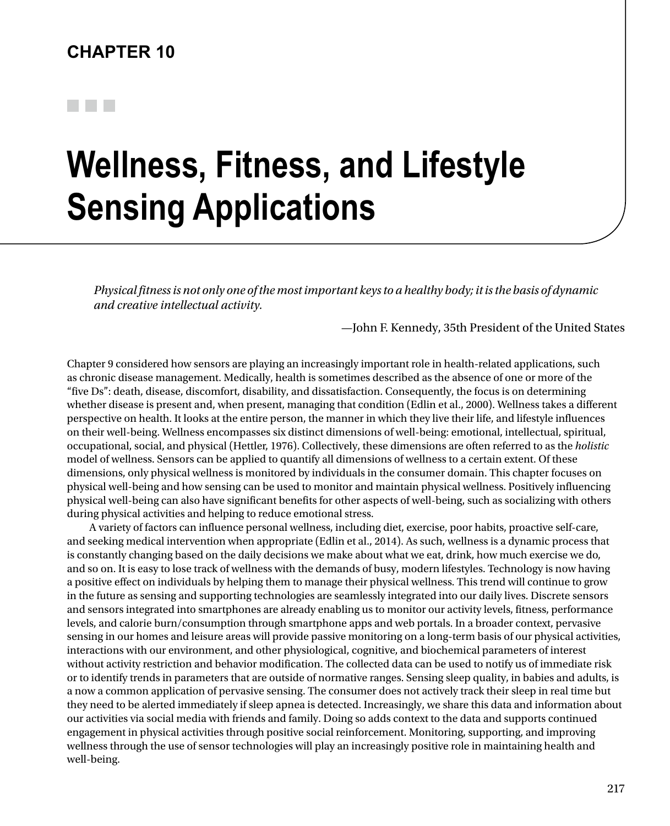#### **Chapter 10**

# **Wellness, Fitness, and Lifestyle Sensing Applications**

*Physical fitness is not only one of the most important keys to a healthy body; it is the basis of dynamic and creative intellectual activity.*

—John F. Kennedy, 35th President of the United States

Chapter 9 considered how sensors are playing an increasingly important role in health-related applications, such as chronic disease management. Medically, health is sometimes described as the absence of one or more of the "five Ds": death, disease, discomfort, disability, and dissatisfaction. Consequently, the focus is on determining whether disease is present and, when present, managing that condition (Edlin et al., 2000). Wellness takes a different perspective on health. It looks at the entire person, the manner in which they live their life, and lifestyle influences on their well-being. Wellness encompasses six distinct dimensions of well-being: emotional, intellectual, spiritual, occupational, social, and physical (Hettler, 1976). Collectively, these dimensions are often referred to as the *holistic* model of wellness. Sensors can be applied to quantify all dimensions of wellness to a certain extent. Of these dimensions, only physical wellness is monitored by individuals in the consumer domain. This chapter focuses on physical well-being and how sensing can be used to monitor and maintain physical wellness. Positively influencing physical well-being can also have significant benefits for other aspects of well-being, such as socializing with others during physical activities and helping to reduce emotional stress.

A variety of factors can influence personal wellness, including diet, exercise, poor habits, proactive self-care, and seeking medical intervention when appropriate (Edlin et al., 2014). As such, wellness is a dynamic process that is constantly changing based on the daily decisions we make about what we eat, drink, how much exercise we do, and so on. It is easy to lose track of wellness with the demands of busy, modern lifestyles. Technology is now having a positive effect on individuals by helping them to manage their physical wellness. This trend will continue to grow in the future as sensing and supporting technologies are seamlessly integrated into our daily lives. Discrete sensors and sensors integrated into smartphones are already enabling us to monitor our activity levels, fitness, performance levels, and calorie burn/consumption through smartphone apps and web portals. In a broader context, pervasive sensing in our homes and leisure areas will provide passive monitoring on a long-term basis of our physical activities, interactions with our environment, and other physiological, cognitive, and biochemical parameters of interest without activity restriction and behavior modification. The collected data can be used to notify us of immediate risk or to identify trends in parameters that are outside of normative ranges. Sensing sleep quality, in babies and adults, is a now a common application of pervasive sensing. The consumer does not actively track their sleep in real time but they need to be alerted immediately if sleep apnea is detected. Increasingly, we share this data and information about our activities via social media with friends and family. Doing so adds context to the data and supports continued engagement in physical activities through positive social reinforcement. Monitoring, supporting, and improving wellness through the use of sensor technologies will play an increasingly positive role in maintaining health and well-being.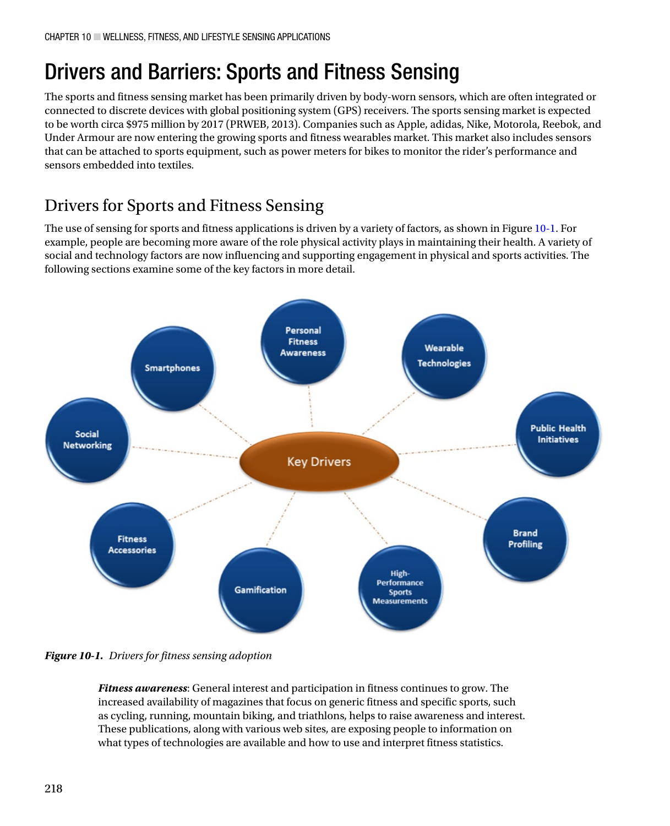# Drivers and Barriers: Sports and Fitness Sensing

The sports and fitness sensing market has been primarily driven by body-worn sensors, which are often integrated or connected to discrete devices with global positioning system (GPS) receivers. The sports sensing market is expected to be worth circa \$975 million by 2017 (PRWEB, 2013). Companies such as Apple, adidas, Nike, Motorola, Reebok, and Under Armour are now entering the growing sports and fitness wearables market. This market also includes sensors that can be attached to sports equipment, such as power meters for bikes to monitor the rider's performance and sensors embedded into textiles.

## Drivers for Sports and Fitness Sensing

The use of sensing for sports and fitness applications is driven by a variety of factors, as shown in Figure [10-1](#page-1-0). For example, people are becoming more aware of the role physical activity plays in maintaining their health. A variety of social and technology factors are now influencing and supporting engagement in physical and sports activities. The following sections examine some of the key factors in more detail.

<span id="page-1-0"></span>

*Figure 10-1. Drivers for fitness sensing adoption*

*Fitness awareness*: General interest and participation in fitness continues to grow. The increased availability of magazines that focus on generic fitness and specific sports, such as cycling, running, mountain biking, and triathlons, helps to raise awareness and interest. These publications, along with various web sites, are exposing people to information on what types of technologies are available and how to use and interpret fitness statistics.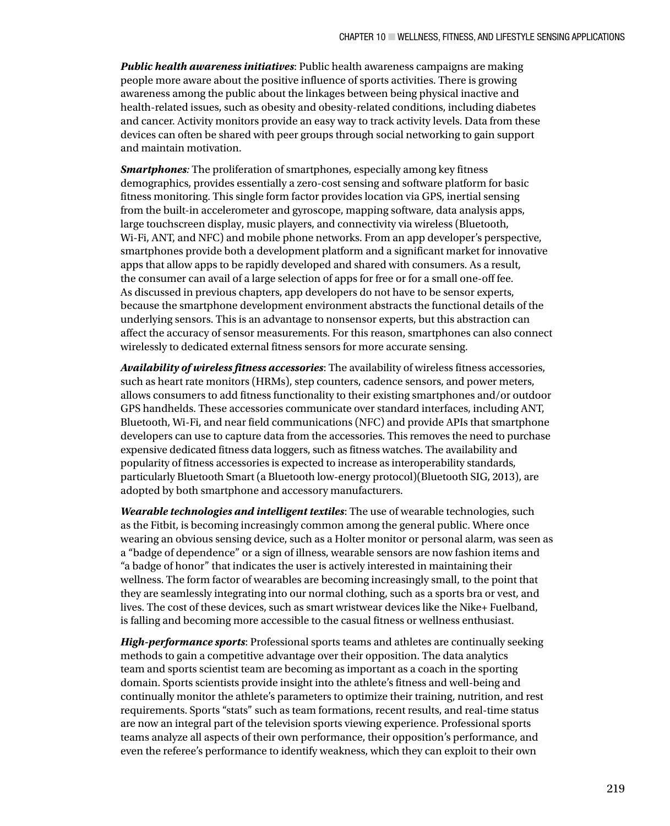*Public health awareness initiatives*: Public health awareness campaigns are making people more aware about the positive influence of sports activities. There is growing awareness among the public about the linkages between being physical inactive and health-related issues, such as obesity and obesity-related conditions, including diabetes and cancer. Activity monitors provide an easy way to track activity levels. Data from these devices can often be shared with peer groups through social networking to gain support and maintain motivation.

*Smartphones:* The proliferation of smartphones, especially among key fitness demographics, provides essentially a zero-cost sensing and software platform for basic fitness monitoring. This single form factor provides location via GPS, inertial sensing from the built-in accelerometer and gyroscope, mapping software, data analysis apps, large touchscreen display, music players, and connectivity via wireless (Bluetooth, Wi-Fi, ANT, and NFC) and mobile phone networks. From an app developer's perspective, smartphones provide both a development platform and a significant market for innovative apps that allow apps to be rapidly developed and shared with consumers. As a result, the consumer can avail of a large selection of apps for free or for a small one-off fee. As discussed in previous chapters, app developers do not have to be sensor experts, because the smartphone development environment abstracts the functional details of the underlying sensors. This is an advantage to nonsensor experts, but this abstraction can affect the accuracy of sensor measurements. For this reason, smartphones can also connect wirelessly to dedicated external fitness sensors for more accurate sensing.

*Availability of wireless fitness accessories*: The availability of wireless fitness accessories, such as heart rate monitors (HRMs), step counters, cadence sensors, and power meters, allows consumers to add fitness functionality to their existing smartphones and/or outdoor GPS handhelds. These accessories communicate over standard interfaces, including ANT, Bluetooth, Wi-Fi, and near field communications (NFC) and provide APIs that smartphone developers can use to capture data from the accessories. This removes the need to purchase expensive dedicated fitness data loggers, such as fitness watches. The availability and popularity of fitness accessories is expected to increase as interoperability standards, particularly Bluetooth Smart (a Bluetooth low-energy protocol)(Bluetooth SIG, 2013), are adopted by both smartphone and accessory manufacturers.

*Wearable technologies and intelligent textiles*: The use of wearable technologies, such as the Fitbit, is becoming increasingly common among the general public. Where once wearing an obvious sensing device, such as a Holter monitor or personal alarm, was seen as a "badge of dependence" or a sign of illness, wearable sensors are now fashion items and "a badge of honor" that indicates the user is actively interested in maintaining their wellness. The form factor of wearables are becoming increasingly small, to the point that they are seamlessly integrating into our normal clothing, such as a sports bra or vest, and lives. The cost of these devices, such as smart wristwear devices like the Nike+ Fuelband, is falling and becoming more accessible to the casual fitness or wellness enthusiast.

*High-performance sports*: Professional sports teams and athletes are continually seeking methods to gain a competitive advantage over their opposition. The data analytics team and sports scientist team are becoming as important as a coach in the sporting domain. Sports scientists provide insight into the athlete's fitness and well-being and continually monitor the athlete's parameters to optimize their training, nutrition, and rest requirements. Sports "stats" such as team formations, recent results, and real-time status are now an integral part of the television sports viewing experience. Professional sports teams analyze all aspects of their own performance, their opposition's performance, and even the referee's performance to identify weakness, which they can exploit to their own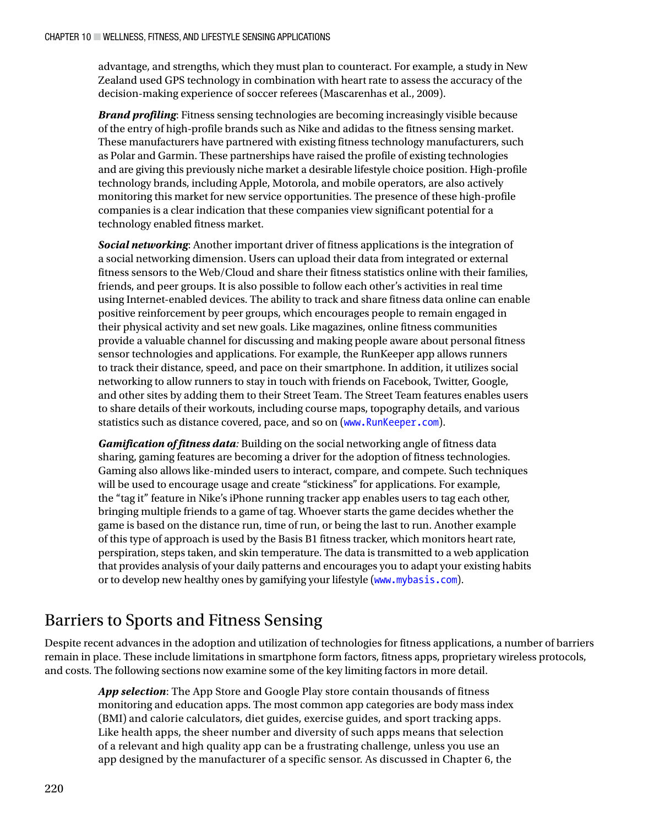advantage, and strengths, which they must plan to counteract. For example, a study in New Zealand used GPS technology in combination with heart rate to assess the accuracy of the decision-making experience of soccer referees (Mascarenhas et al., 2009).

*Brand profiling*: Fitness sensing technologies are becoming increasingly visible because of the entry of high-profile brands such as Nike and adidas to the fitness sensing market. These manufacturers have partnered with existing fitness technology manufacturers, such as Polar and Garmin. These partnerships have raised the profile of existing technologies and are giving this previously niche market a desirable lifestyle choice position. High-profile technology brands, including Apple, Motorola, and mobile operators, are also actively monitoring this market for new service opportunities. The presence of these high-profile companies is a clear indication that these companies view significant potential for a technology enabled fitness market.

*Social networking*: Another important driver of fitness applications is the integration of a social networking dimension. Users can upload their data from integrated or external fitness sensors to the Web/Cloud and share their fitness statistics online with their families, friends, and peer groups. It is also possible to follow each other's activities in real time using Internet-enabled devices. The ability to track and share fitness data online can enable positive reinforcement by peer groups, which encourages people to remain engaged in their physical activity and set new goals. Like magazines, online fitness communities provide a valuable channel for discussing and making people aware about personal fitness sensor technologies and applications. For example, the RunKeeper app allows runners to track their distance, speed, and pace on their smartphone. In addition, it utilizes social networking to allow runners to stay in touch with friends on Facebook, Twitter, Google, and other sites by adding them to their Street Team. The Street Team features enables users to share details of their workouts, including course maps, topography details, and various statistics such as distance covered, pace, and so on ([www.RunKeeper.com](http://www.runkeeper.com/)).

*Gamification of fitness data:* Building on the social networking angle of fitness data sharing, gaming features are becoming a driver for the adoption of fitness technologies. Gaming also allows like-minded users to interact, compare, and compete. Such techniques will be used to encourage usage and create "stickiness" for applications. For example, the "tag it" feature in Nike's iPhone running tracker app enables users to tag each other, bringing multiple friends to a game of tag. Whoever starts the game decides whether the game is based on the distance run, time of run, or being the last to run. Another example of this type of approach is used by the Basis B1 fitness tracker, which monitors heart rate, perspiration, steps taken, and skin temperature. The data is transmitted to a web application that provides analysis of your daily patterns and encourages you to adapt your existing habits or to develop new healthy ones by gamifying your lifestyle ([www.mybasis.com](http://www.mybasis.com/)).

#### Barriers to Sports and Fitness Sensing

Despite recent advances in the adoption and utilization of technologies for fitness applications, a number of barriers remain in place. These include limitations in smartphone form factors, fitness apps, proprietary wireless protocols, and costs. The following sections now examine some of the key limiting factors in more detail.

*App selection*: The App Store and Google Play store contain thousands of fitness monitoring and education apps. The most common app categories are body mass index (BMI) and calorie calculators, diet guides, exercise guides, and sport tracking apps. Like health apps, the sheer number and diversity of such apps means that selection of a relevant and high quality app can be a frustrating challenge, unless you use an app designed by the manufacturer of a specific sensor. As discussed in Chapter 6, the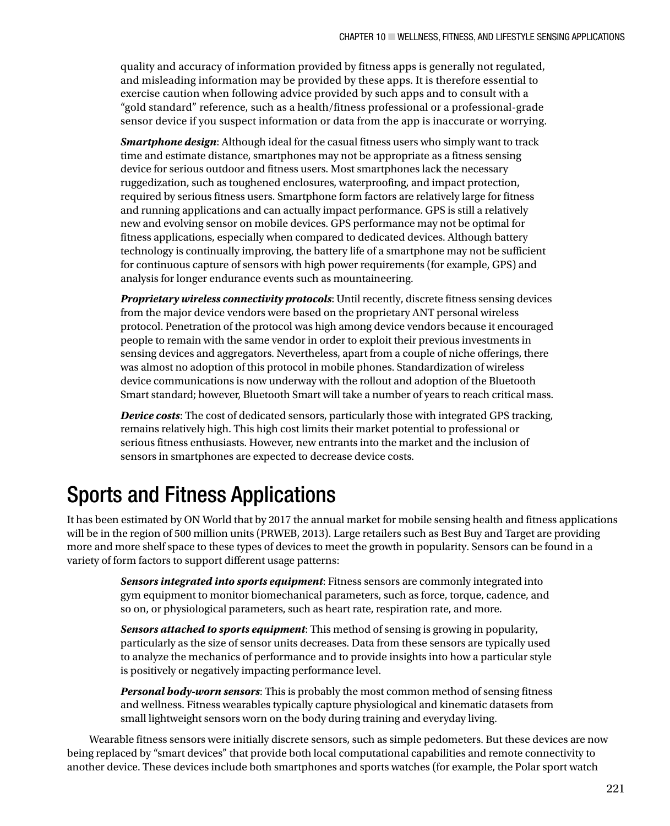quality and accuracy of information provided by fitness apps is generally not regulated, and misleading information may be provided by these apps. It is therefore essential to exercise caution when following advice provided by such apps and to consult with a "gold standard" reference, such as a health/fitness professional or a professional-grade sensor device if you suspect information or data from the app is inaccurate or worrying.

*Smartphone design*: Although ideal for the casual fitness users who simply want to track time and estimate distance, smartphones may not be appropriate as a fitness sensing device for serious outdoor and fitness users. Most smartphones lack the necessary ruggedization, such as toughened enclosures, waterproofing, and impact protection, required by serious fitness users. Smartphone form factors are relatively large for fitness and running applications and can actually impact performance. GPS is still a relatively new and evolving sensor on mobile devices. GPS performance may not be optimal for fitness applications, especially when compared to dedicated devices. Although battery technology is continually improving, the battery life of a smartphone may not be sufficient for continuous capture of sensors with high power requirements (for example, GPS) and analysis for longer endurance events such as mountaineering.

*Proprietary wireless connectivity protocols*: Until recently, discrete fitness sensing devices from the major device vendors were based on the proprietary ANT personal wireless protocol. Penetration of the protocol was high among device vendors because it encouraged people to remain with the same vendor in order to exploit their previous investments in sensing devices and aggregators. Nevertheless, apart from a couple of niche offerings, there was almost no adoption of this protocol in mobile phones. Standardization of wireless device communications is now underway with the rollout and adoption of the Bluetooth Smart standard; however, Bluetooth Smart will take a number of years to reach critical mass.

*Device costs*: The cost of dedicated sensors, particularly those with integrated GPS tracking, remains relatively high. This high cost limits their market potential to professional or serious fitness enthusiasts. However, new entrants into the market and the inclusion of sensors in smartphones are expected to decrease device costs.

# Sports and Fitness Applications

It has been estimated by ON World that by 2017 the annual market for mobile sensing health and fitness applications will be in the region of 500 million units (PRWEB, 2013). Large retailers such as Best Buy and Target are providing more and more shelf space to these types of devices to meet the growth in popularity. Sensors can be found in a variety of form factors to support different usage patterns:

*Sensors integrated into sports equipment*: Fitness sensors are commonly integrated into gym equipment to monitor biomechanical parameters, such as force, torque, cadence, and so on, or physiological parameters, such as heart rate, respiration rate, and more.

*Sensors attached to sports equipment*: This method of sensing is growing in popularity, particularly as the size of sensor units decreases. Data from these sensors are typically used to analyze the mechanics of performance and to provide insights into how a particular style is positively or negatively impacting performance level.

*Personal body-worn sensors*: This is probably the most common method of sensing fitness and wellness. Fitness wearables typically capture physiological and kinematic datasets from small lightweight sensors worn on the body during training and everyday living.

Wearable fitness sensors were initially discrete sensors, such as simple pedometers. But these devices are now being replaced by "smart devices" that provide both local computational capabilities and remote connectivity to another device. These devices include both smartphones and sports watches (for example, the Polar sport watch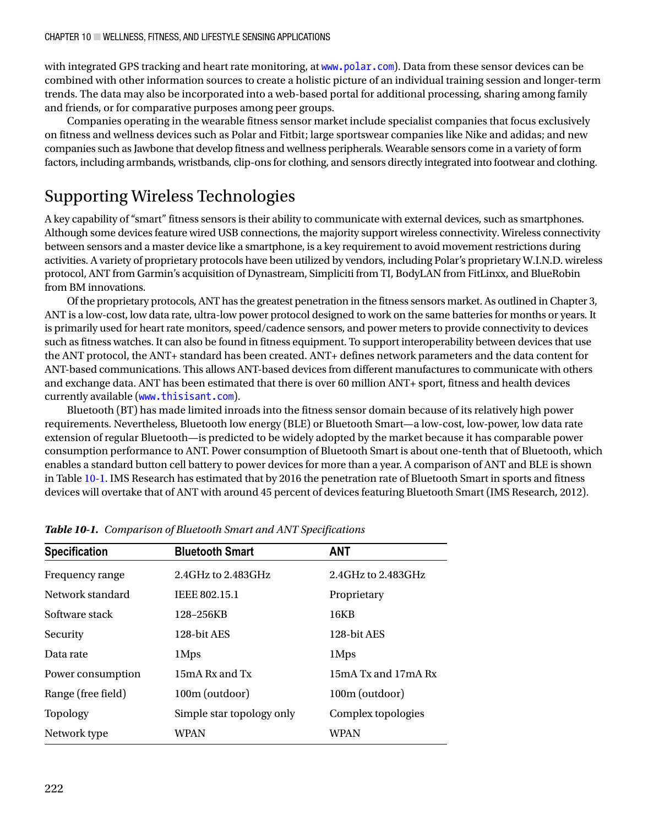with integrated GPS tracking and heart rate monitoring, at [www.polar.com](http://www.polar.com/)). Data from these sensor devices can be combined with other information sources to create a holistic picture of an individual training session and longer-term trends. The data may also be incorporated into a web-based portal for additional processing, sharing among family and friends, or for comparative purposes among peer groups.

Companies operating in the wearable fitness sensor market include specialist companies that focus exclusively on fitness and wellness devices such as Polar and Fitbit; large sportswear companies like Nike and adidas; and new companies such as Jawbone that develop fitness and wellness peripherals. Wearable sensors come in a variety of form factors, including armbands, wristbands, clip-ons for clothing, and sensors directly integrated into footwear and clothing.

### Supporting Wireless Technologies

A key capability of "smart" fitness sensors is their ability to communicate with external devices, such as smartphones. Although some devices feature wired USB connections, the majority support wireless connectivity. Wireless connectivity between sensors and a master device like a smartphone, is a key requirement to avoid movement restrictions during activities. A variety of proprietary protocols have been utilized by vendors, including Polar's proprietary W.I.N.D. wireless protocol, ANT from Garmin's acquisition of Dynastream, Simpliciti from TI, BodyLAN from FitLinxx, and BlueRobin from BM innovations.

Of the proprietary protocols, ANT has the greatest penetration in the fitness sensors market. As outlined in Chapter 3, ANT is a low-cost, low data rate, ultra-low power protocol designed to work on the same batteries for months or years. It is primarily used for heart rate monitors, speed/cadence sensors, and power meters to provide connectivity to devices such as fitness watches. It can also be found in fitness equipment. To support interoperability between devices that use the ANT protocol, the ANT+ standard has been created. ANT+ defines network parameters and the data content for ANT-based communications. This allows ANT-based devices from different manufactures to communicate with others and exchange data. ANT has been estimated that there is over 60 million ANT+ sport, fitness and health devices currently available ([www.thisisant.com](http://www.thisisant.com)).

Bluetooth (BT) has made limited inroads into the fitness sensor domain because of its relatively high power requirements. Nevertheless, Bluetooth low energy (BLE) or Bluetooth Smart—a low-cost, low-power, low data rate extension of regular Bluetooth—is predicted to be widely adopted by the market because it has comparable power consumption performance to ANT. Power consumption of Bluetooth Smart is about one-tenth that of Bluetooth, which enables a standard button cell battery to power devices for more than a year. A comparison of ANT and BLE is shown in Table [10-1.](#page-5-0) IMS Research has estimated that by 2016 the penetration rate of Bluetooth Smart in sports and fitness devices will overtake that of ANT with around 45 percent of devices featuring Bluetooth Smart (IMS Research, 2012).

| <b>Specification</b> | <b>Bluetooth Smart</b>    | ANT                      |
|----------------------|---------------------------|--------------------------|
| Frequency range      | $2.4$ GHz to $2.483$ GHz  | $2.4$ GHz to $2.483$ GHz |
| Network standard     | IEEE 802.15.1             | Proprietary              |
| Software stack       | 128-256KB                 | 16KB                     |
| Security             | 128-bit AES               | 128-bit AES              |
| Data rate            | 1Mps                      | 1Mps                     |
| Power consumption    | 15mA Rx and Tx            | 15mA Tx and 17mA Rx      |
| Range (free field)   | 100m (outdoor)            | 100m (outdoor)           |
| <b>Topology</b>      | Simple star topology only | Complex topologies       |
| Network type         | WPAN                      | WPAN                     |

<span id="page-5-0"></span>*Table 10-1. Comparison of Bluetooth Smart and ANT Specifications*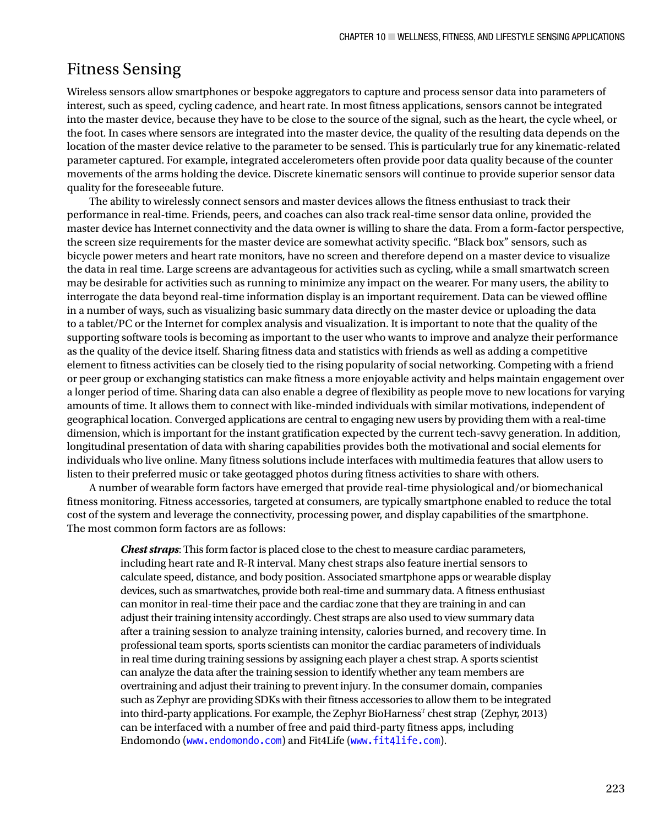#### Fitness Sensing

Wireless sensors allow smartphones or bespoke aggregators to capture and process sensor data into parameters of interest, such as speed, cycling cadence, and heart rate. In most fitness applications, sensors cannot be integrated into the master device, because they have to be close to the source of the signal, such as the heart, the cycle wheel, or the foot. In cases where sensors are integrated into the master device, the quality of the resulting data depends on the location of the master device relative to the parameter to be sensed. This is particularly true for any kinematic-related parameter captured. For example, integrated accelerometers often provide poor data quality because of the counter movements of the arms holding the device. Discrete kinematic sensors will continue to provide superior sensor data quality for the foreseeable future.

The ability to wirelessly connect sensors and master devices allows the fitness enthusiast to track their performance in real-time. Friends, peers, and coaches can also track real-time sensor data online, provided the master device has Internet connectivity and the data owner is willing to share the data. From a form-factor perspective, the screen size requirements for the master device are somewhat activity specific. "Black box" sensors, such as bicycle power meters and heart rate monitors, have no screen and therefore depend on a master device to visualize the data in real time. Large screens are advantageous for activities such as cycling, while a small smartwatch screen may be desirable for activities such as running to minimize any impact on the wearer. For many users, the ability to interrogate the data beyond real-time information display is an important requirement. Data can be viewed offline in a number of ways, such as visualizing basic summary data directly on the master device or uploading the data to a tablet/PC or the Internet for complex analysis and visualization. It is important to note that the quality of the supporting software tools is becoming as important to the user who wants to improve and analyze their performance as the quality of the device itself. Sharing fitness data and statistics with friends as well as adding a competitive element to fitness activities can be closely tied to the rising popularity of social networking. Competing with a friend or peer group or exchanging statistics can make fitness a more enjoyable activity and helps maintain engagement over a longer period of time. Sharing data can also enable a degree of flexibility as people move to new locations for varying amounts of time. It allows them to connect with like-minded individuals with similar motivations, independent of geographical location. Converged applications are central to engaging new users by providing them with a real-time dimension, which is important for the instant gratification expected by the current tech-savvy generation. In addition, longitudinal presentation of data with sharing capabilities provides both the motivational and social elements for individuals who live online. Many fitness solutions include interfaces with multimedia features that allow users to listen to their preferred music or take geotagged photos during fitness activities to share with others.

A number of wearable form factors have emerged that provide real-time physiological and/or biomechanical fitness monitoring. Fitness accessories, targeted at consumers, are typically smartphone enabled to reduce the total cost of the system and leverage the connectivity, processing power, and display capabilities of the smartphone. The most common form factors are as follows:

*Chest straps*: This form factor is placed close to the chest to measure cardiac parameters, including heart rate and R-R interval. Many chest straps also feature inertial sensors to calculate speed, distance, and body position. Associated smartphone apps or wearable display devices, such as smartwatches, provide both real-time and summary data. A fitness enthusiast can monitor in real-time their pace and the cardiac zone that they are training in and can adjust their training intensity accordingly. Chest straps are also used to view summary data after a training session to analyze training intensity, calories burned, and recovery time. In professional team sports, sports scientists can monitor the cardiac parameters of individuals in real time during training sessions by assigning each player a chest strap. A sports scientist can analyze the data after the training session to identify whether any team members are overtraining and adjust their training to prevent injury. In the consumer domain, companies such as Zephyr are providing SDKs with their fitness accessories to allow them to be integrated into third-party applications. For example, the Zephyr BioHarness<sup>T</sup> chest strap (Zephyr, 2013) can be interfaced with a number of free and paid third-party fitness apps, including Endomondo ([www.endomondo.com](http://www.endomondo.com/)) and Fit4Life ([www.fit4life.com](http://www.fit4life.com/)).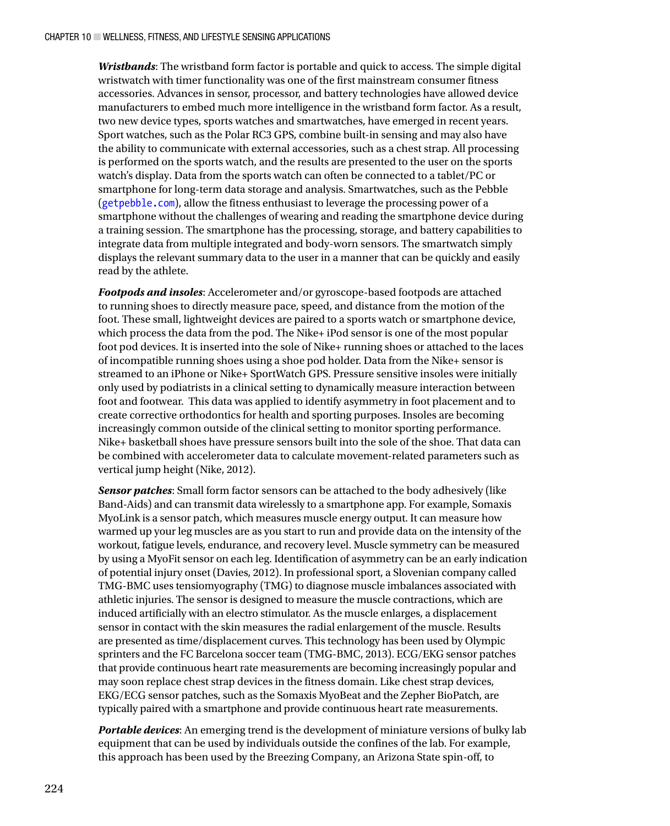*Wristbands*: The wristband form factor is portable and quick to access. The simple digital wristwatch with timer functionality was one of the first mainstream consumer fitness accessories. Advances in sensor, processor, and battery technologies have allowed device manufacturers to embed much more intelligence in the wristband form factor. As a result, two new device types, sports watches and smartwatches, have emerged in recent years. Sport watches, such as the Polar RC3 GPS, combine built-in sensing and may also have the ability to communicate with external accessories, such as a chest strap. All processing is performed on the sports watch, and the results are presented to the user on the sports watch's display. Data from the sports watch can often be connected to a tablet/PC or smartphone for long-term data storage and analysis. Smartwatches, such as the Pebble ([getpebble.com](http://getpebble.com/)), allow the fitness enthusiast to leverage the processing power of a smartphone without the challenges of wearing and reading the smartphone device during a training session. The smartphone has the processing, storage, and battery capabilities to integrate data from multiple integrated and body-worn sensors. The smartwatch simply displays the relevant summary data to the user in a manner that can be quickly and easily read by the athlete.

*Footpods and insoles*: Accelerometer and/or gyroscope-based footpods are attached to running shoes to directly measure pace, speed, and distance from the motion of the foot. These small, lightweight devices are paired to a sports watch or smartphone device, which process the data from the pod. The Nike+ iPod sensor is one of the most popular foot pod devices. It is inserted into the sole of Nike+ running shoes or attached to the laces of incompatible running shoes using a shoe pod holder. Data from the Nike+ sensor is streamed to an iPhone or Nike+ SportWatch GPS. Pressure sensitive insoles were initially only used by podiatrists in a clinical setting to dynamically measure interaction between foot and footwear. This data was applied to identify asymmetry in foot placement and to create corrective orthodontics for health and sporting purposes. Insoles are becoming increasingly common outside of the clinical setting to monitor sporting performance. Nike+ basketball shoes have pressure sensors built into the sole of the shoe. That data can be combined with accelerometer data to calculate movement-related parameters such as vertical jump height (Nike, 2012).

*Sensor patches*: Small form factor sensors can be attached to the body adhesively (like Band-Aids) and can transmit data wirelessly to a smartphone app. For example, Somaxis MyoLink is a sensor patch, which measures muscle energy output. It can measure how warmed up your leg muscles are as you start to run and provide data on the intensity of the workout, fatigue levels, endurance, and recovery level. Muscle symmetry can be measured by using a MyoFit sensor on each leg. Identification of asymmetry can be an early indication of potential injury onset (Davies, 2012). In professional sport, a Slovenian company called TMG-BMC uses tensiomyography (TMG) to diagnose muscle imbalances associated with athletic injuries. The sensor is designed to measure the muscle contractions, which are induced artificially with an electro stimulator. As the muscle enlarges, a displacement sensor in contact with the skin measures the radial enlargement of the muscle. Results are presented as time/displacement curves. This technology has been used by Olympic sprinters and the FC Barcelona soccer team (TMG-BMC, 2013). ECG/EKG sensor patches that provide continuous heart rate measurements are becoming increasingly popular and may soon replace chest strap devices in the fitness domain. Like chest strap devices, EKG/ECG sensor patches, such as the Somaxis MyoBeat and the Zepher BioPatch, are typically paired with a smartphone and provide continuous heart rate measurements.

**Portable devices:** An emerging trend is the development of miniature versions of bulky lab equipment that can be used by individuals outside the confines of the lab. For example, this approach has been used by the Breezing Company, an Arizona State spin-off, to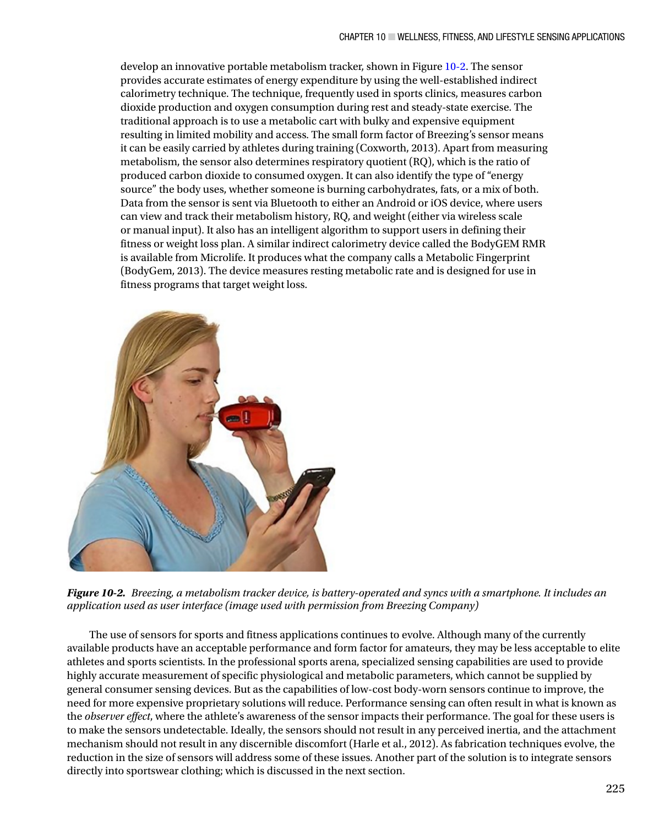develop an innovative portable metabolism tracker, shown in Figure [10-2.](#page-8-0) The sensor provides accurate estimates of energy expenditure by using the well-established indirect calorimetry technique. The technique, frequently used in sports clinics, measures carbon dioxide production and oxygen consumption during rest and steady-state exercise. The traditional approach is to use a metabolic cart with bulky and expensive equipment resulting in limited mobility and access. The small form factor of Breezing's sensor means it can be easily carried by athletes during training (Coxworth, 2013). Apart from measuring metabolism, the sensor also determines respiratory quotient (RQ), which is the ratio of produced carbon dioxide to consumed oxygen. It can also identify the type of "energy source" the body uses, whether someone is burning carbohydrates, fats, or a mix of both. Data from the sensor is sent via Bluetooth to either an Android or iOS device, where users can view and track their metabolism history, RQ, and weight (either via wireless scale or manual input). It also has an intelligent algorithm to support users in defining their fitness or weight loss plan. A similar indirect calorimetry device called the BodyGEM RMR is available from Microlife. It produces what the company calls a Metabolic Fingerprint (BodyGem, 2013). The device measures resting metabolic rate and is designed for use in fitness programs that target weight loss.

<span id="page-8-0"></span>

*Figure 10-2. Breezing, a metabolism tracker device, is battery-operated and syncs with a smartphone. It includes an application used as user interface (image used with permission from Breezing Company)*

The use of sensors for sports and fitness applications continues to evolve. Although many of the currently available products have an acceptable performance and form factor for amateurs, they may be less acceptable to elite athletes and sports scientists. In the professional sports arena, specialized sensing capabilities are used to provide highly accurate measurement of specific physiological and metabolic parameters, which cannot be supplied by general consumer sensing devices. But as the capabilities of low-cost body-worn sensors continue to improve, the need for more expensive proprietary solutions will reduce. Performance sensing can often result in what is known as the *observer effect*, where the athlete's awareness of the sensor impacts their performance. The goal for these users is to make the sensors undetectable. Ideally, the sensors should not result in any perceived inertia, and the attachment mechanism should not result in any discernible discomfort (Harle et al., 2012). As fabrication techniques evolve, the reduction in the size of sensors will address some of these issues. Another part of the solution is to integrate sensors directly into sportswear clothing; which is discussed in the next section.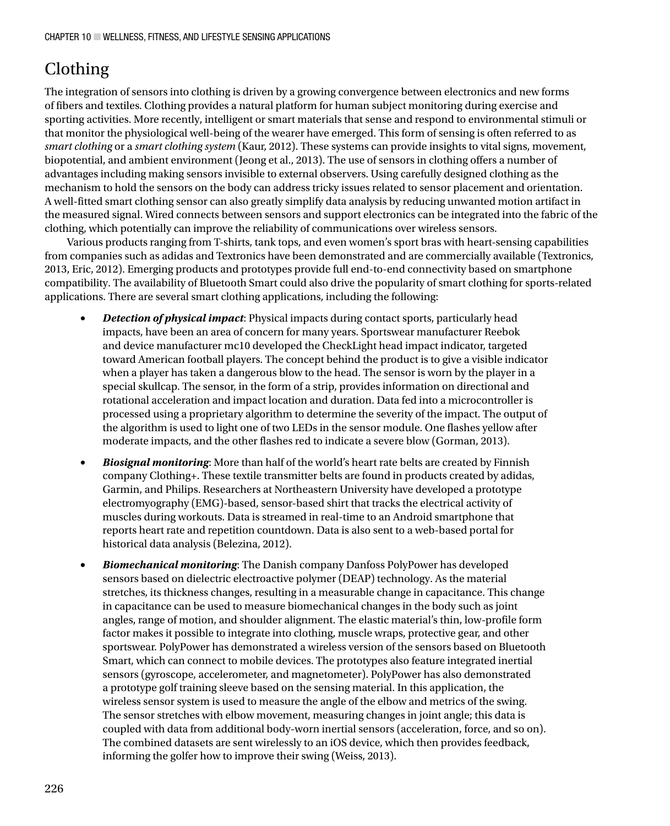# Clothing

The integration of sensors into clothing is driven by a growing convergence between electronics and new forms of fibers and textiles. Clothing provides a natural platform for human subject monitoring during exercise and sporting activities. More recently, intelligent or smart materials that sense and respond to environmental stimuli or that monitor the physiological well-being of the wearer have emerged. This form of sensing is often referred to as *smart clothing* or a *smart clothing system* (Kaur, 2012). These systems can provide insights to vital signs, movement, biopotential, and ambient environment (Jeong et al., 2013). The use of sensors in clothing offers a number of advantages including making sensors invisible to external observers. Using carefully designed clothing as the mechanism to hold the sensors on the body can address tricky issues related to sensor placement and orientation. A well-fitted smart clothing sensor can also greatly simplify data analysis by reducing unwanted motion artifact in the measured signal. Wired connects between sensors and support electronics can be integrated into the fabric of the clothing, which potentially can improve the reliability of communications over wireless sensors.

Various products ranging from T-shirts, tank tops, and even women's sport bras with heart-sensing capabilities from companies such as adidas and Textronics have been demonstrated and are commercially available (Textronics, 2013, Eric, 2012). Emerging products and prototypes provide full end-to-end connectivity based on smartphone compatibility. The availability of Bluetooth Smart could also drive the popularity of smart clothing for sports-related applications. There are several smart clothing applications, including the following:

- *Detection of physical impact:* Physical impacts during contact sports, particularly head impacts, have been an area of concern for many years. Sportswear manufacturer Reebok and device manufacturer mc10 developed the CheckLight head impact indicator, targeted toward American football players. The concept behind the product is to give a visible indicator when a player has taken a dangerous blow to the head. The sensor is worn by the player in a special skullcap. The sensor, in the form of a strip, provides information on directional and rotational acceleration and impact location and duration. Data fed into a microcontroller is processed using a proprietary algorithm to determine the severity of the impact. The output of the algorithm is used to light one of two LEDs in the sensor module. One flashes yellow after moderate impacts, and the other flashes red to indicate a severe blow (Gorman, 2013).
- **Biosignal monitoring:** More than half of the world's heart rate belts are created by Finnish company Clothing+. These textile transmitter belts are found in products created by adidas, Garmin, and Philips. Researchers at Northeastern University have developed a prototype electromyography (EMG)-based, sensor-based shirt that tracks the electrical activity of muscles during workouts. Data is streamed in real-time to an Android smartphone that reports heart rate and repetition countdown. Data is also sent to a web-based portal for historical data analysis (Belezina, 2012).
- • *Biomechanical monitoring*: The Danish company Danfoss PolyPower has developed sensors based on dielectric electroactive polymer (DEAP) technology. As the material stretches, its thickness changes, resulting in a measurable change in capacitance. This change in capacitance can be used to measure biomechanical changes in the body such as joint angles, range of motion, and shoulder alignment. The elastic material's thin, low-profile form factor makes it possible to integrate into clothing, muscle wraps, protective gear, and other sportswear. PolyPower has demonstrated a wireless version of the sensors based on Bluetooth Smart, which can connect to mobile devices. The prototypes also feature integrated inertial sensors (gyroscope, accelerometer, and magnetometer). PolyPower has also demonstrated a prototype golf training sleeve based on the sensing material. In this application, the wireless sensor system is used to measure the angle of the elbow and metrics of the swing. The sensor stretches with elbow movement, measuring changes in joint angle; this data is coupled with data from additional body-worn inertial sensors (acceleration, force, and so on). The combined datasets are sent wirelessly to an iOS device, which then provides feedback, informing the golfer how to improve their swing (Weiss, 2013).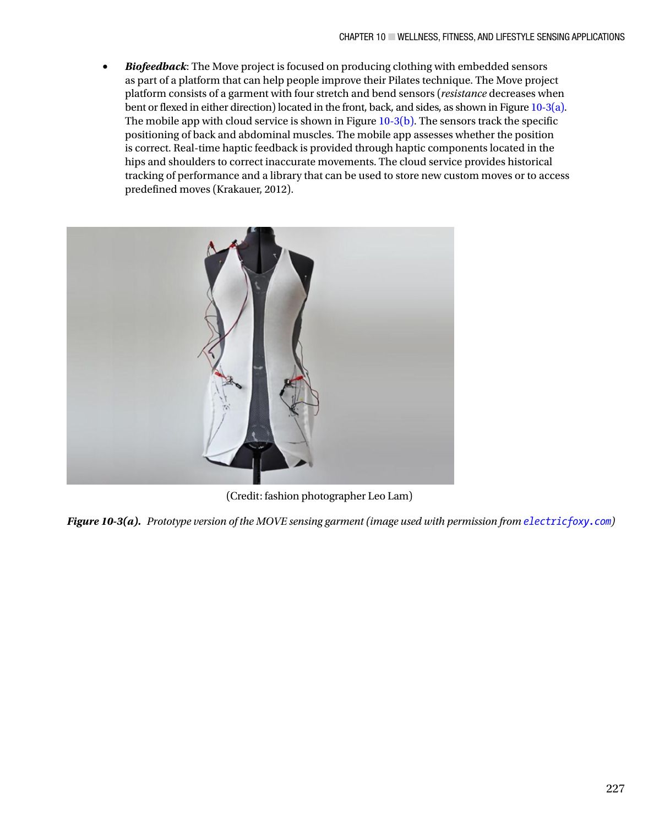• *Biofeedback*: The Move project is focused on producing clothing with embedded sensors as part of a platform that can help people improve their Pilates technique. The Move project platform consists of a garment with four stretch and bend sensors (*resistance* decreases when bent or flexed in either direction) located in the front, back, and sides, as shown in Figure [10-3\(a\)](#page-10-0). The mobile app with cloud service is shown in Figure  $10-3(b)$ . The sensors track the specific positioning of back and abdominal muscles. The mobile app assesses whether the position is correct. Real-time haptic feedback is provided through haptic components located in the hips and shoulders to correct inaccurate movements. The cloud service provides historical tracking of performance and a library that can be used to store new custom moves or to access predefined moves (Krakauer, 2012).

<span id="page-10-0"></span>

(Credit: fashion photographer Leo Lam)

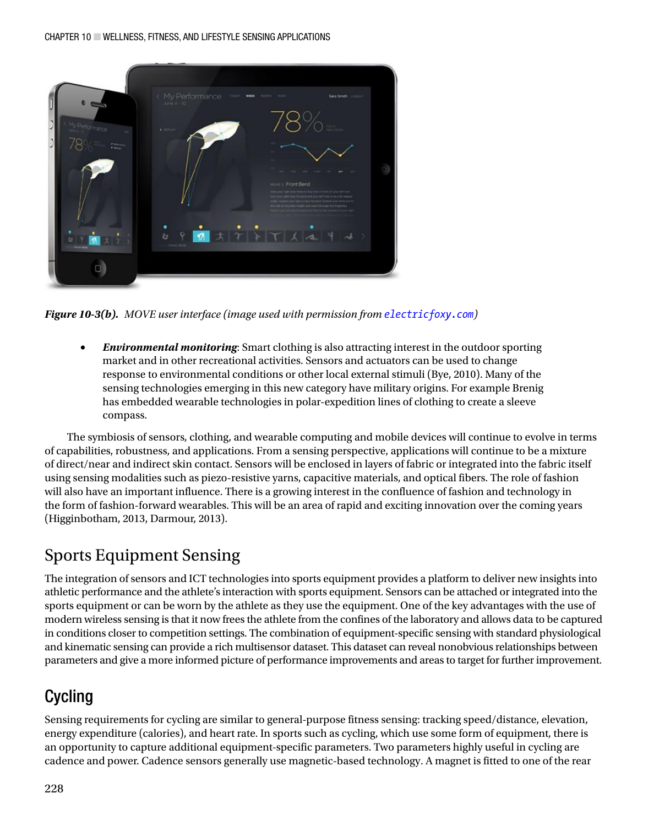<span id="page-11-0"></span>

*Figure 10-3(b). MOVE user interface (image used with permission from [electricfoxy.com](http://electricfoxy.com/))* 

• *Environmental monitoring*: Smart clothing is also attracting interest in the outdoor sporting market and in other recreational activities. Sensors and actuators can be used to change response to environmental conditions or other local external stimuli (Bye, 2010). Many of the sensing technologies emerging in this new category have military origins. For example Brenig has embedded wearable technologies in polar-expedition lines of clothing to create a sleeve compass.

The symbiosis of sensors, clothing, and wearable computing and mobile devices will continue to evolve in terms of capabilities, robustness, and applications. From a sensing perspective, applications will continue to be a mixture of direct/near and indirect skin contact. Sensors will be enclosed in layers of fabric or integrated into the fabric itself using sensing modalities such as piezo-resistive yarns, capacitive materials, and optical fibers. The role of fashion will also have an important influence. There is a growing interest in the confluence of fashion and technology in the form of fashion-forward wearables. This will be an area of rapid and exciting innovation over the coming years (Higginbotham, 2013, Darmour, 2013).

### Sports Equipment Sensing

The integration of sensors and ICT technologies into sports equipment provides a platform to deliver new insights into athletic performance and the athlete's interaction with sports equipment. Sensors can be attached or integrated into the sports equipment or can be worn by the athlete as they use the equipment. One of the key advantages with the use of modern wireless sensing is that it now frees the athlete from the confines of the laboratory and allows data to be captured in conditions closer to competition settings. The combination of equipment-specific sensing with standard physiological and kinematic sensing can provide a rich multisensor dataset. This dataset can reveal nonobvious relationships between parameters and give a more informed picture of performance improvements and areas to target for further improvement.

# Cycling

Sensing requirements for cycling are similar to general-purpose fitness sensing: tracking speed/distance, elevation, energy expenditure (calories), and heart rate. In sports such as cycling, which use some form of equipment, there is an opportunity to capture additional equipment-specific parameters. Two parameters highly useful in cycling are cadence and power. Cadence sensors generally use magnetic-based technology. A magnet is fitted to one of the rear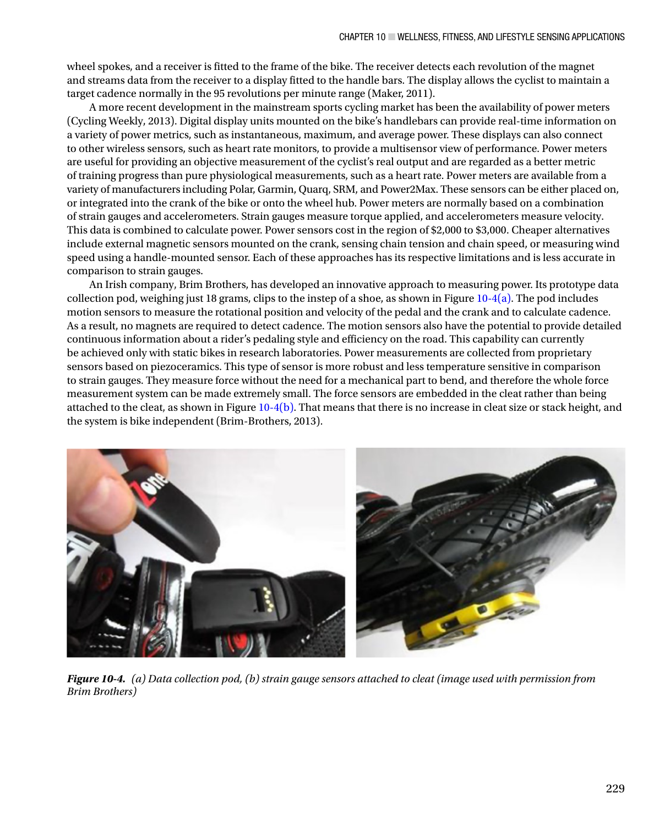wheel spokes, and a receiver is fitted to the frame of the bike. The receiver detects each revolution of the magnet and streams data from the receiver to a display fitted to the handle bars. The display allows the cyclist to maintain a target cadence normally in the 95 revolutions per minute range (Maker, 2011).

A more recent development in the mainstream sports cycling market has been the availability of power meters (Cycling Weekly, 2013). Digital display units mounted on the bike's handlebars can provide real-time information on a variety of power metrics, such as instantaneous, maximum, and average power. These displays can also connect to other wireless sensors, such as heart rate monitors, to provide a multisensor view of performance. Power meters are useful for providing an objective measurement of the cyclist's real output and are regarded as a better metric of training progress than pure physiological measurements, such as a heart rate. Power meters are available from a variety of manufacturers including Polar, Garmin, Quarq, SRM, and Power2Max. These sensors can be either placed on, or integrated into the crank of the bike or onto the wheel hub. Power meters are normally based on a combination of strain gauges and accelerometers. Strain gauges measure torque applied, and accelerometers measure velocity. This data is combined to calculate power. Power sensors cost in the region of \$2,000 to \$3,000. Cheaper alternatives include external magnetic sensors mounted on the crank, sensing chain tension and chain speed, or measuring wind speed using a handle-mounted sensor. Each of these approaches has its respective limitations and is less accurate in comparison to strain gauges.

An Irish company, Brim Brothers, has developed an innovative approach to measuring power. Its prototype data collection pod, weighing just 18 grams, clips to the instep of a shoe, as shown in Figure [10-4\(a\)](#page-12-0). The pod includes motion sensors to measure the rotational position and velocity of the pedal and the crank and to calculate cadence. As a result, no magnets are required to detect cadence. The motion sensors also have the potential to provide detailed continuous information about a rider's pedaling style and efficiency on the road. This capability can currently be achieved only with static bikes in research laboratories. Power measurements are collected from proprietary sensors based on piezoceramics. This type of sensor is more robust and less temperature sensitive in comparison to strain gauges. They measure force without the need for a mechanical part to bend, and therefore the whole force measurement system can be made extremely small. The force sensors are embedded in the cleat rather than being attached to the cleat, as shown in Figure  $10-4(b)$ . That means that there is no increase in cleat size or stack height, and the system is bike independent (Brim-Brothers, 2013).

<span id="page-12-0"></span>

*Figure 10-4. (a) Data collection pod, (b) strain gauge sensors attached to cleat (image used with permission from Brim Brothers)*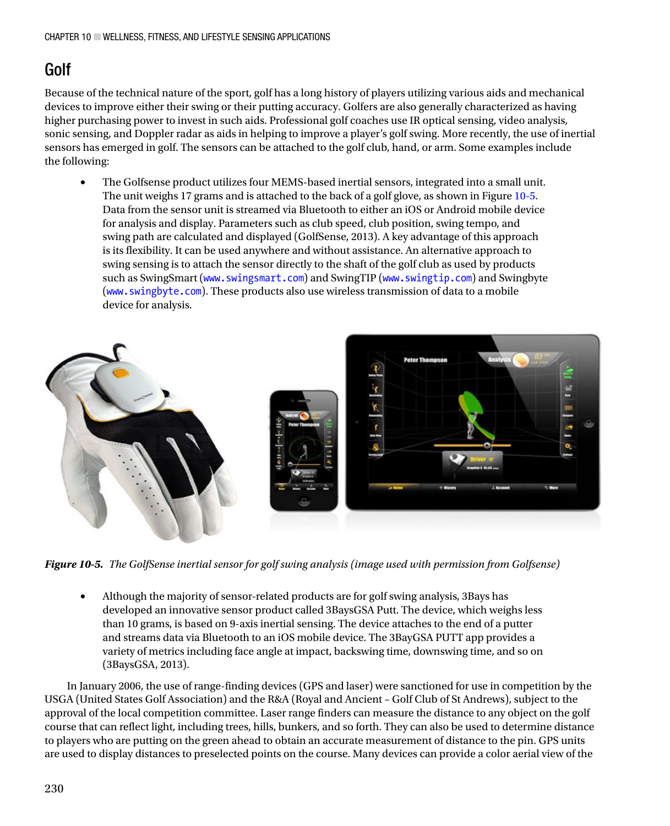### Golf

Because of the technical nature of the sport, golf has a long history of players utilizing various aids and mechanical devices to improve either their swing or their putting accuracy. Golfers are also generally characterized as having higher purchasing power to invest in such aids. Professional golf coaches use IR optical sensing, video analysis, sonic sensing, and Doppler radar as aids in helping to improve a player's golf swing. More recently, the use of inertial sensors has emerged in golf. The sensors can be attached to the golf club, hand, or arm. Some examples include the following:

The Golfsense product utilizes four MEMS-based inertial sensors, integrated into a small unit. The unit weighs 17 grams and is attached to the back of a golf glove, as shown in Figure [10-5.](#page-13-0) Data from the sensor unit is streamed via Bluetooth to either an iOS or Android mobile device for analysis and display. Parameters such as club speed, club position, swing tempo, and swing path are calculated and displayed (GolfSense, 2013). A key advantage of this approach is its flexibility. It can be used anywhere and without assistance. An alternative approach to swing sensing is to attach the sensor directly to the shaft of the golf club as used by products such as SwingSmart ([www.swingsmart.com](http://www.swingsmart.com/)) and SwingTIP ([www.swingtip.com](http://www.swingtip.com/)) and Swingbyte ([www.swingbyte.com](http://www.swingbyte.com/)). These products also use wireless transmission of data to a mobile device for analysis.

<span id="page-13-0"></span>



Although the majority of sensor-related products are for golf swing analysis, 3Bays has developed an innovative sensor product called 3BaysGSA Putt. The device, which weighs less than 10 grams, is based on 9-axis inertial sensing. The device attaches to the end of a putter and streams data via Bluetooth to an iOS mobile device. The 3BayGSA PUTT app provides a variety of metrics including face angle at impact, backswing time, downswing time, and so on (3BaysGSA, 2013).

In January 2006, the use of range-finding devices (GPS and laser) were sanctioned for use in competition by the USGA (United States Golf Association) and the R&A (Royal and Ancient – Golf Club of St Andrews), subject to the approval of the local competition committee. Laser range finders can measure the distance to any object on the golf course that can reflect light, including trees, hills, bunkers, and so forth. They can also be used to determine distance to players who are putting on the green ahead to obtain an accurate measurement of distance to the pin. GPS units are used to display distances to preselected points on the course. Many devices can provide a color aerial view of the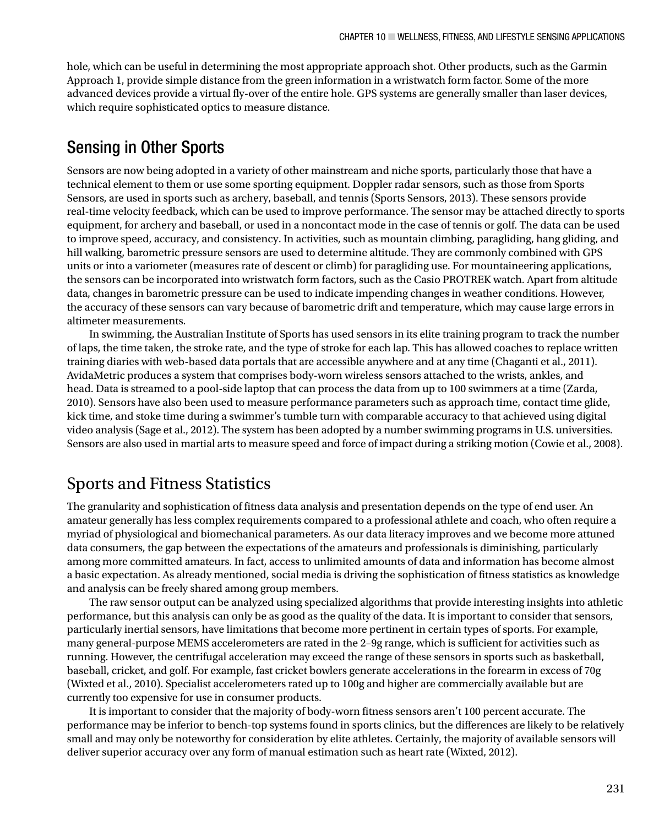hole, which can be useful in determining the most appropriate approach shot. Other products, such as the Garmin Approach 1, provide simple distance from the green information in a wristwatch form factor. Some of the more advanced devices provide a virtual fly-over of the entire hole. GPS systems are generally smaller than laser devices, which require sophisticated optics to measure distance.

#### Sensing in Other Sports

Sensors are now being adopted in a variety of other mainstream and niche sports, particularly those that have a technical element to them or use some sporting equipment. Doppler radar sensors, such as those from Sports Sensors, are used in sports such as archery, baseball, and tennis (Sports Sensors, 2013). These sensors provide real-time velocity feedback, which can be used to improve performance. The sensor may be attached directly to sports equipment, for archery and baseball, or used in a noncontact mode in the case of tennis or golf. The data can be used to improve speed, accuracy, and consistency. In activities, such as mountain climbing, paragliding, hang gliding, and hill walking, barometric pressure sensors are used to determine altitude. They are commonly combined with GPS units or into a variometer (measures rate of descent or climb) for paragliding use. For mountaineering applications, the sensors can be incorporated into wristwatch form factors, such as the Casio PROTREK watch. Apart from altitude data, changes in barometric pressure can be used to indicate impending changes in weather conditions. However, the accuracy of these sensors can vary because of barometric drift and temperature, which may cause large errors in altimeter measurements.

In swimming, the Australian Institute of Sports has used sensors in its elite training program to track the number of laps, the time taken, the stroke rate, and the type of stroke for each lap. This has allowed coaches to replace written training diaries with web-based data portals that are accessible anywhere and at any time (Chaganti et al., 2011). AvidaMetric produces a system that comprises body-worn wireless sensors attached to the wrists, ankles, and head. Data is streamed to a pool-side laptop that can process the data from up to 100 swimmers at a time (Zarda, 2010). Sensors have also been used to measure performance parameters such as approach time, contact time glide, kick time, and stoke time during a swimmer's tumble turn with comparable accuracy to that achieved using digital video analysis (Sage et al., 2012). The system has been adopted by a number swimming programs in U.S. universities. Sensors are also used in martial arts to measure speed and force of impact during a striking motion (Cowie et al., 2008).

#### Sports and Fitness Statistics

The granularity and sophistication of fitness data analysis and presentation depends on the type of end user. An amateur generally has less complex requirements compared to a professional athlete and coach, who often require a myriad of physiological and biomechanical parameters. As our data literacy improves and we become more attuned data consumers, the gap between the expectations of the amateurs and professionals is diminishing, particularly among more committed amateurs. In fact, access to unlimited amounts of data and information has become almost a basic expectation. As already mentioned, social media is driving the sophistication of fitness statistics as knowledge and analysis can be freely shared among group members.

The raw sensor output can be analyzed using specialized algorithms that provide interesting insights into athletic performance, but this analysis can only be as good as the quality of the data. It is important to consider that sensors, particularly inertial sensors, have limitations that become more pertinent in certain types of sports. For example, many general-purpose MEMS accelerometers are rated in the 2–9g range, which is sufficient for activities such as running. However, the centrifugal acceleration may exceed the range of these sensors in sports such as basketball, baseball, cricket, and golf. For example, fast cricket bowlers generate accelerations in the forearm in excess of 70g (Wixted et al., 2010). Specialist accelerometers rated up to 100g and higher are commercially available but are currently too expensive for use in consumer products.

It is important to consider that the majority of body-worn fitness sensors aren't 100 percent accurate. The performance may be inferior to bench-top systems found in sports clinics, but the differences are likely to be relatively small and may only be noteworthy for consideration by elite athletes. Certainly, the majority of available sensors will deliver superior accuracy over any form of manual estimation such as heart rate (Wixted, 2012).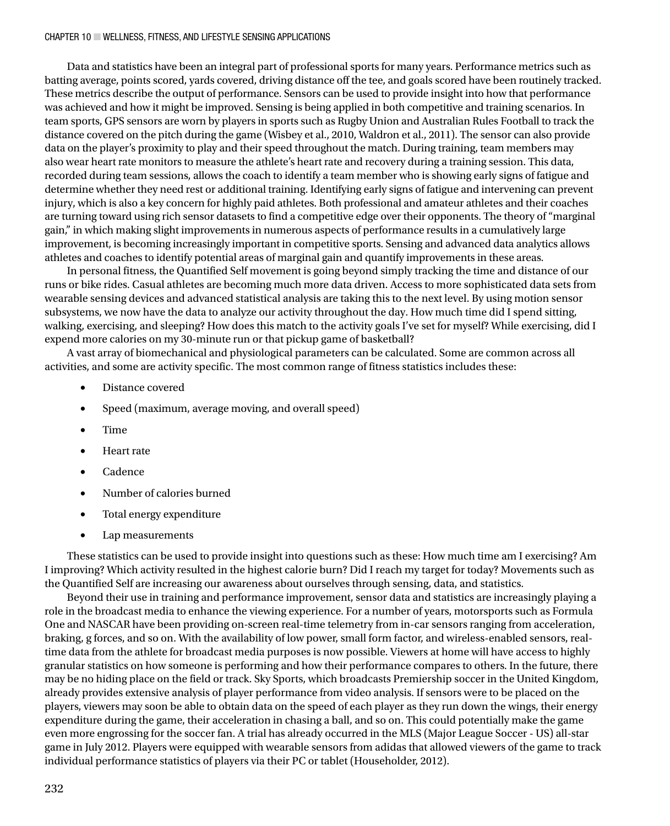#### Chapter 10 ■ Wellness, Fitness, and Lifestyle Sensing Applications

Data and statistics have been an integral part of professional sports for many years. Performance metrics such as batting average, points scored, yards covered, driving distance off the tee, and goals scored have been routinely tracked. These metrics describe the output of performance. Sensors can be used to provide insight into how that performance was achieved and how it might be improved. Sensing is being applied in both competitive and training scenarios. In team sports, GPS sensors are worn by players in sports such as Rugby Union and Australian Rules Football to track the distance covered on the pitch during the game (Wisbey et al., 2010, Waldron et al., 2011). The sensor can also provide data on the player's proximity to play and their speed throughout the match. During training, team members may also wear heart rate monitors to measure the athlete's heart rate and recovery during a training session. This data, recorded during team sessions, allows the coach to identify a team member who is showing early signs of fatigue and determine whether they need rest or additional training. Identifying early signs of fatigue and intervening can prevent injury, which is also a key concern for highly paid athletes. Both professional and amateur athletes and their coaches are turning toward using rich sensor datasets to find a competitive edge over their opponents. The theory of "marginal gain," in which making slight improvements in numerous aspects of performance results in a cumulatively large improvement, is becoming increasingly important in competitive sports. Sensing and advanced data analytics allows athletes and coaches to identify potential areas of marginal gain and quantify improvements in these areas.

In personal fitness, the Quantified Self movement is going beyond simply tracking the time and distance of our runs or bike rides. Casual athletes are becoming much more data driven. Access to more sophisticated data sets from wearable sensing devices and advanced statistical analysis are taking this to the next level. By using motion sensor subsystems, we now have the data to analyze our activity throughout the day. How much time did I spend sitting, walking, exercising, and sleeping? How does this match to the activity goals I've set for myself? While exercising, did I expend more calories on my 30-minute run or that pickup game of basketball?

A vast array of biomechanical and physiological parameters can be calculated. Some are common across all activities, and some are activity specific. The most common range of fitness statistics includes these:

- Distance covered
- Speed (maximum, average moving, and overall speed)
- • Time
- Heart rate
- • Cadence
- Number of calories burned
- Total energy expenditure
- • Lap measurements

These statistics can be used to provide insight into questions such as these: How much time am I exercising? Am I improving? Which activity resulted in the highest calorie burn? Did I reach my target for today? Movements such as the Quantified Self are increasing our awareness about ourselves through sensing, data, and statistics.

Beyond their use in training and performance improvement, sensor data and statistics are increasingly playing a role in the broadcast media to enhance the viewing experience. For a number of years, motorsports such as Formula One and NASCAR have been providing on-screen real-time telemetry from in-car sensors ranging from acceleration, braking, g forces, and so on. With the availability of low power, small form factor, and wireless-enabled sensors, realtime data from the athlete for broadcast media purposes is now possible. Viewers at home will have access to highly granular statistics on how someone is performing and how their performance compares to others. In the future, there may be no hiding place on the field or track. Sky Sports, which broadcasts Premiership soccer in the United Kingdom, already provides extensive analysis of player performance from video analysis. If sensors were to be placed on the players, viewers may soon be able to obtain data on the speed of each player as they run down the wings, their energy expenditure during the game, their acceleration in chasing a ball, and so on. This could potentially make the game even more engrossing for the soccer fan. A trial has already occurred in the MLS (Major League Soccer - US) all-star game in July 2012. Players were equipped with wearable sensors from adidas that allowed viewers of the game to track individual performance statistics of players via their PC or tablet (Householder, 2012).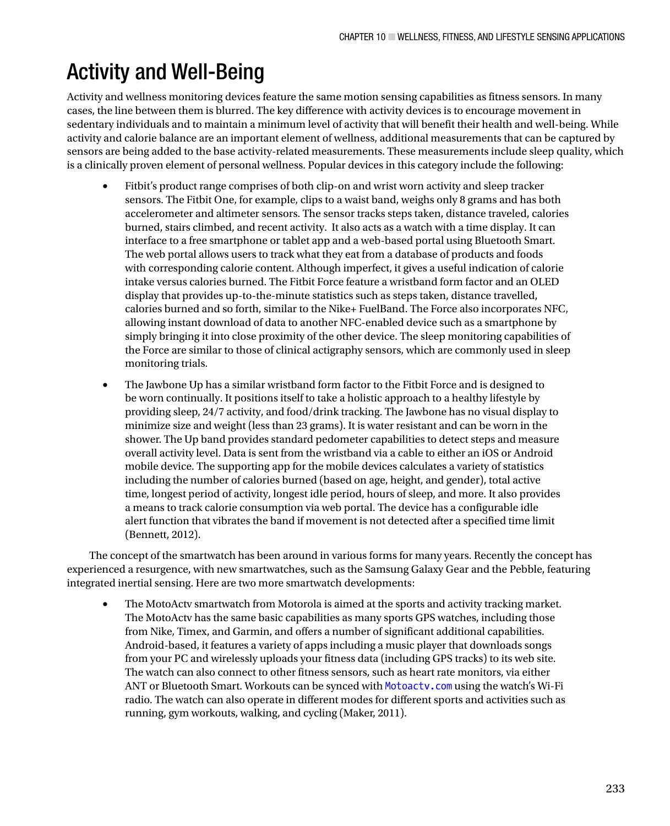# Activity and Well-Being

Activity and wellness monitoring devices feature the same motion sensing capabilities as fitness sensors. In many cases, the line between them is blurred. The key difference with activity devices is to encourage movement in sedentary individuals and to maintain a minimum level of activity that will benefit their health and well-being. While activity and calorie balance are an important element of wellness, additional measurements that can be captured by sensors are being added to the base activity-related measurements. These measurements include sleep quality, which is a clinically proven element of personal wellness. Popular devices in this category include the following:

- Fitbit's product range comprises of both clip-on and wrist worn activity and sleep tracker sensors. The Fitbit One, for example, clips to a waist band, weighs only 8 grams and has both accelerometer and altimeter sensors. The sensor tracks steps taken, distance traveled, calories burned, stairs climbed, and recent activity. It also acts as a watch with a time display. It can interface to a free smartphone or tablet app and a web-based portal using Bluetooth Smart. The web portal allows users to track what they eat from a database of products and foods with corresponding calorie content. Although imperfect, it gives a useful indication of calorie intake versus calories burned. The Fitbit Force feature a wristband form factor and an OLED display that provides up-to-the-minute statistics such as steps taken, distance travelled, calories burned and so forth, similar to the Nike+ FuelBand. The Force also incorporates NFC, allowing instant download of data to another NFC-enabled device such as a smartphone by simply bringing it into close proximity of the other device. The sleep monitoring capabilities of the Force are similar to those of clinical actigraphy sensors, which are commonly used in sleep monitoring trials.
- The Jawbone Up has a similar wristband form factor to the Fitbit Force and is designed to be worn continually. It positions itself to take a holistic approach to a healthy lifestyle by providing sleep, 24/7 activity, and food/drink tracking. The Jawbone has no visual display to minimize size and weight (less than 23 grams). It is water resistant and can be worn in the shower. The Up band provides standard pedometer capabilities to detect steps and measure overall activity level. Data is sent from the wristband via a cable to either an iOS or Android mobile device. The supporting app for the mobile devices calculates a variety of statistics including the number of calories burned (based on age, height, and gender), total active time, longest period of activity, longest idle period, hours of sleep, and more. It also provides a means to track calorie consumption via web portal. The device has a configurable idle alert function that vibrates the band if movement is not detected after a specified time limit (Bennett, 2012).

The concept of the smartwatch has been around in various forms for many years. Recently the concept has experienced a resurgence, with new smartwatches, such as the Samsung Galaxy Gear and the Pebble, featuring integrated inertial sensing. Here are two more smartwatch developments:

The MotoActv smartwatch from Motorola is aimed at the sports and activity tracking market. The MotoActv has the same basic capabilities as many sports GPS watches, including those from Nike, Timex, and Garmin, and offers a number of significant additional capabilities. Android-based, it features a variety of apps including a music player that downloads songs from your PC and wirelessly uploads your fitness data (including GPS tracks) to its web site. The watch can also connect to other fitness sensors, such as heart rate monitors, via either ANT or Bluetooth Smart. Workouts can be synced with Motoacty. com using the watch's Wi-Fi radio. The watch can also operate in different modes for different sports and activities such as running, gym workouts, walking, and cycling (Maker, 2011).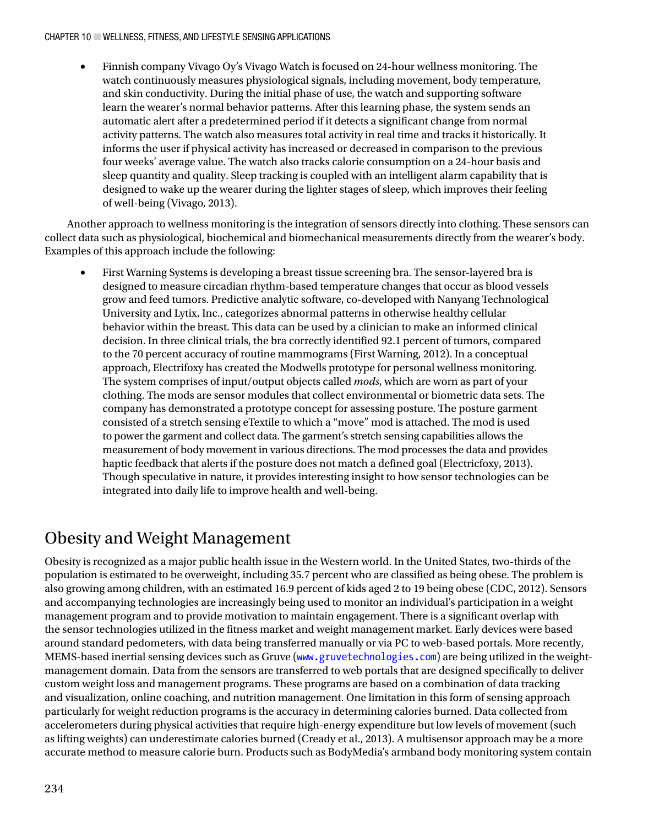#### Chapter 10 ■ Wellness, Fitness, and Lifestyle Sensing Applications

• Finnish company Vivago Oy's Vivago Watch is focused on 24-hour wellness monitoring. The watch continuously measures physiological signals, including movement, body temperature, and skin conductivity. During the initial phase of use, the watch and supporting software learn the wearer's normal behavior patterns. After this learning phase, the system sends an automatic alert after a predetermined period if it detects a significant change from normal activity patterns. The watch also measures total activity in real time and tracks it historically. It informs the user if physical activity has increased or decreased in comparison to the previous four weeks' average value. The watch also tracks calorie consumption on a 24-hour basis and sleep quantity and quality. Sleep tracking is coupled with an intelligent alarm capability that is designed to wake up the wearer during the lighter stages of sleep, which improves their feeling of well-being (Vivago, 2013).

Another approach to wellness monitoring is the integration of sensors directly into clothing. These sensors can collect data such as physiological, biochemical and biomechanical measurements directly from the wearer's body. Examples of this approach include the following:

First Warning Systems is developing a breast tissue screening bra. The sensor-layered bra is designed to measure circadian rhythm-based temperature changes that occur as blood vessels grow and feed tumors. Predictive analytic software, co-developed with Nanyang Technological University and Lytix, Inc., categorizes abnormal patterns in otherwise healthy cellular behavior within the breast. This data can be used by a clinician to make an informed clinical decision. In three clinical trials, the bra correctly identified 92.1 percent of tumors, compared to the 70 percent accuracy of routine mammograms (First Warning, 2012). In a conceptual approach, Electrifoxy has created the Modwells prototype for personal wellness monitoring. The system comprises of input/output objects called *mods*, which are worn as part of your clothing. The mods are sensor modules that collect environmental or biometric data sets. The company has demonstrated a prototype concept for assessing posture. The posture garment consisted of a stretch sensing eTextile to which a "move" mod is attached. The mod is used to power the garment and collect data. The garment's stretch sensing capabilities allows the measurement of body movement in various directions. The mod processes the data and provides haptic feedback that alerts if the posture does not match a defined goal (Electricfoxy, 2013). Though speculative in nature, it provides interesting insight to how sensor technologies can be integrated into daily life to improve health and well-being.

### Obesity and Weight Management

Obesity is recognized as a major public health issue in the Western world. In the United States, two-thirds of the population is estimated to be overweight, including 35.7 percent who are classified as being obese. The problem is also growing among children, with an estimated 16.9 percent of kids aged 2 to 19 being obese (CDC, 2012). Sensors and accompanying technologies are increasingly being used to monitor an individual's participation in a weight management program and to provide motivation to maintain engagement. There is a significant overlap with the sensor technologies utilized in the fitness market and weight management market. Early devices were based around standard pedometers, with data being transferred manually or via PC to web-based portals. More recently, MEMS-based inertial sensing devices such as Gruve ([www.gruvetechnologies.com](http://www.gruvetechnologies.com/)) are being utilized in the weightmanagement domain. Data from the sensors are transferred to web portals that are designed specifically to deliver custom weight loss and management programs. These programs are based on a combination of data tracking and visualization, online coaching, and nutrition management. One limitation in this form of sensing approach particularly for weight reduction programs is the accuracy in determining calories burned. Data collected from accelerometers during physical activities that require high-energy expenditure but low levels of movement (such as lifting weights) can underestimate calories burned (Cready et al., 2013). A multisensor approach may be a more accurate method to measure calorie burn. Products such as BodyMedia's armband body monitoring system contain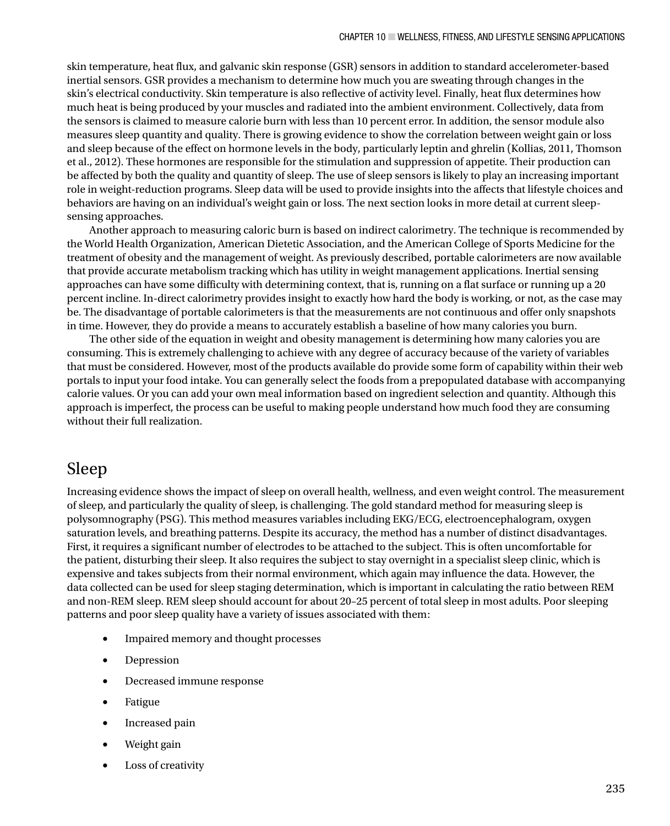skin temperature, heat flux, and galvanic skin response (GSR) sensors in addition to standard accelerometer-based inertial sensors. GSR provides a mechanism to determine how much you are sweating through changes in the skin's electrical conductivity. Skin temperature is also reflective of activity level. Finally, heat flux determines how much heat is being produced by your muscles and radiated into the ambient environment. Collectively, data from the sensors is claimed to measure calorie burn with less than 10 percent error. In addition, the sensor module also measures sleep quantity and quality. There is growing evidence to show the correlation between weight gain or loss and sleep because of the effect on hormone levels in the body, particularly leptin and ghrelin (Kollias, 2011, Thomson et al., 2012). These hormones are responsible for the stimulation and suppression of appetite. Their production can be affected by both the quality and quantity of sleep. The use of sleep sensors is likely to play an increasing important role in weight-reduction programs. Sleep data will be used to provide insights into the affects that lifestyle choices and behaviors are having on an individual's weight gain or loss. The next section looks in more detail at current sleepsensing approaches.

Another approach to measuring caloric burn is based on indirect calorimetry. The technique is recommended by the World Health Organization, American Dietetic Association, and the American College of Sports Medicine for the treatment of obesity and the management of weight. As previously described, portable calorimeters are now available that provide accurate metabolism tracking which has utility in weight management applications. Inertial sensing approaches can have some difficulty with determining context, that is, running on a flat surface or running up a 20 percent incline. In-direct calorimetry provides insight to exactly how hard the body is working, or not, as the case may be. The disadvantage of portable calorimeters is that the measurements are not continuous and offer only snapshots in time. However, they do provide a means to accurately establish a baseline of how many calories you burn.

The other side of the equation in weight and obesity management is determining how many calories you are consuming. This is extremely challenging to achieve with any degree of accuracy because of the variety of variables that must be considered. However, most of the products available do provide some form of capability within their web portals to input your food intake. You can generally select the foods from a prepopulated database with accompanying calorie values. Or you can add your own meal information based on ingredient selection and quantity. Although this approach is imperfect, the process can be useful to making people understand how much food they are consuming without their full realization.

#### Sleep

Increasing evidence shows the impact of sleep on overall health, wellness, and even weight control. The measurement of sleep, and particularly the quality of sleep, is challenging. The gold standard method for measuring sleep is polysomnography (PSG). This method measures variables including EKG/ECG, electroencephalogram, oxygen saturation levels, and breathing patterns. Despite its accuracy, the method has a number of distinct disadvantages. First, it requires a significant number of electrodes to be attached to the subject. This is often uncomfortable for the patient, disturbing their sleep. It also requires the subject to stay overnight in a specialist sleep clinic, which is expensive and takes subjects from their normal environment, which again may influence the data. However, the data collected can be used for sleep staging determination, which is important in calculating the ratio between REM and non-REM sleep. REM sleep should account for about 20–25 percent of total sleep in most adults. Poor sleeping patterns and poor sleep quality have a variety of issues associated with them:

- Impaired memory and thought processes
- • Depression
- • Decreased immune response
- • Fatigue
- Increased pain
- Weight gain
- • Loss of creativity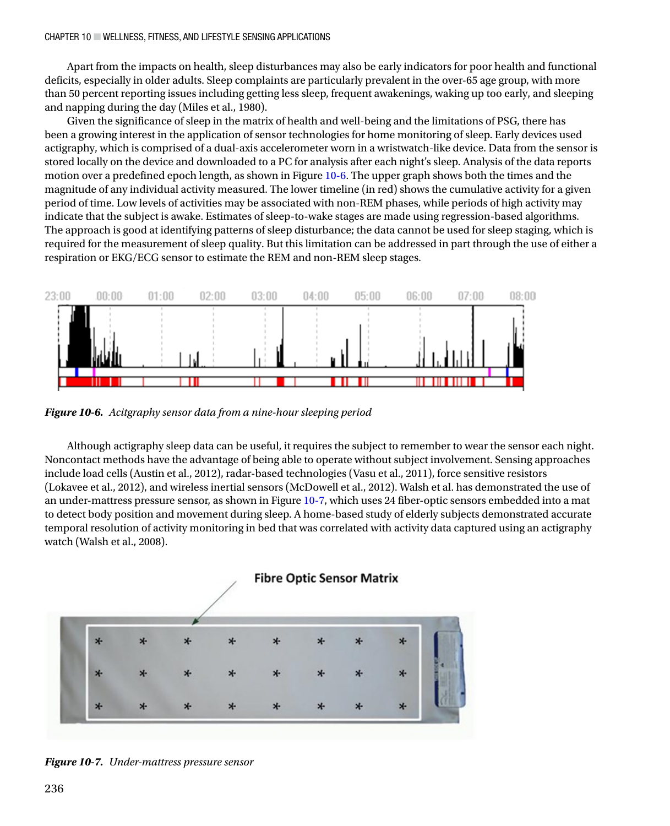Apart from the impacts on health, sleep disturbances may also be early indicators for poor health and functional deficits, especially in older adults. Sleep complaints are particularly prevalent in the over-65 age group, with more than 50 percent reporting issues including getting less sleep, frequent awakenings, waking up too early, and sleeping and napping during the day (Miles et al., 1980).

Given the significance of sleep in the matrix of health and well-being and the limitations of PSG, there has been a growing interest in the application of sensor technologies for home monitoring of sleep. Early devices used actigraphy, which is comprised of a dual-axis accelerometer worn in a wristwatch-like device. Data from the sensor is stored locally on the device and downloaded to a PC for analysis after each night's sleep. Analysis of the data reports motion over a predefined epoch length, as shown in Figure [10-6.](#page-19-0) The upper graph shows both the times and the magnitude of any individual activity measured. The lower timeline (in red) shows the cumulative activity for a given period of time. Low levels of activities may be associated with non-REM phases, while periods of high activity may indicate that the subject is awake. Estimates of sleep-to-wake stages are made using regression-based algorithms. The approach is good at identifying patterns of sleep disturbance; the data cannot be used for sleep staging, which is required for the measurement of sleep quality. But this limitation can be addressed in part through the use of either a respiration or EKG/ECG sensor to estimate the REM and non-REM sleep stages.

<span id="page-19-0"></span>

*Figure 10-6. Acitgraphy sensor data from a nine-hour sleeping period*

Although actigraphy sleep data can be useful, it requires the subject to remember to wear the sensor each night. Noncontact methods have the advantage of being able to operate without subject involvement. Sensing approaches include load cells (Austin et al., 2012), radar-based technologies (Vasu et al., 2011), force sensitive resistors (Lokavee et al., 2012), and wireless inertial sensors (McDowell et al., 2012). Walsh et al. has demonstrated the use of an under-mattress pressure sensor, as shown in Figure [10-7,](#page-19-1) which uses 24 fiber-optic sensors embedded into a mat to detect body position and movement during sleep. A home-based study of elderly subjects demonstrated accurate temporal resolution of activity monitoring in bed that was correlated with activity data captured using an actigraphy watch (Walsh et al., 2008).

<span id="page-19-1"></span>

*Figure 10-7. Under-mattress pressure sensor*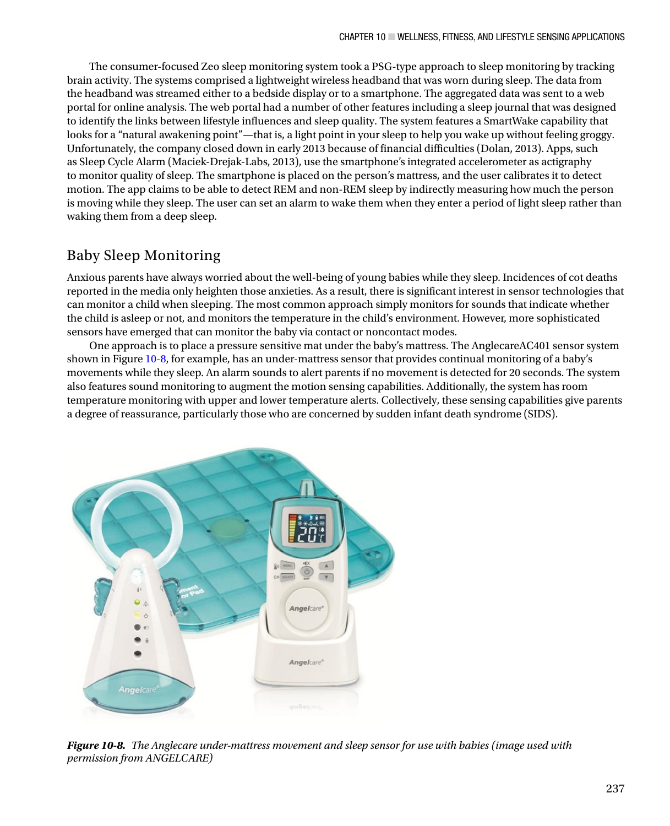The consumer-focused Zeo sleep monitoring system took a PSG-type approach to sleep monitoring by tracking brain activity. The systems comprised a lightweight wireless headband that was worn during sleep. The data from the headband was streamed either to a bedside display or to a smartphone. The aggregated data was sent to a web portal for online analysis. The web portal had a number of other features including a sleep journal that was designed to identify the links between lifestyle influences and sleep quality. The system features a SmartWake capability that looks for a "natural awakening point"—that is, a light point in your sleep to help you wake up without feeling groggy. Unfortunately, the company closed down in early 2013 because of financial difficulties (Dolan, 2013). Apps, such as Sleep Cycle Alarm (Maciek-Drejak-Labs, 2013), use the smartphone's integrated accelerometer as actigraphy to monitor quality of sleep. The smartphone is placed on the person's mattress, and the user calibrates it to detect motion. The app claims to be able to detect REM and non-REM sleep by indirectly measuring how much the person is moving while they sleep. The user can set an alarm to wake them when they enter a period of light sleep rather than waking them from a deep sleep.

#### Baby Sleep Monitoring

Anxious parents have always worried about the well-being of young babies while they sleep. Incidences of cot deaths reported in the media only heighten those anxieties. As a result, there is significant interest in sensor technologies that can monitor a child when sleeping. The most common approach simply monitors for sounds that indicate whether the child is asleep or not, and monitors the temperature in the child's environment. However, more sophisticated sensors have emerged that can monitor the baby via contact or noncontact modes.

One approach is to place a pressure sensitive mat under the baby's mattress. The AnglecareAC401 sensor system shown in Figure [10-8,](#page-20-0) for example, has an under-mattress sensor that provides continual monitoring of a baby's movements while they sleep. An alarm sounds to alert parents if no movement is detected for 20 seconds. The system also features sound monitoring to augment the motion sensing capabilities. Additionally, the system has room temperature monitoring with upper and lower temperature alerts. Collectively, these sensing capabilities give parents a degree of reassurance, particularly those who are concerned by sudden infant death syndrome (SIDS).

<span id="page-20-0"></span>

*Figure 10-8. The Anglecare under-mattress movement and sleep sensor for use with babies (image used with permission from ANGELCARE)*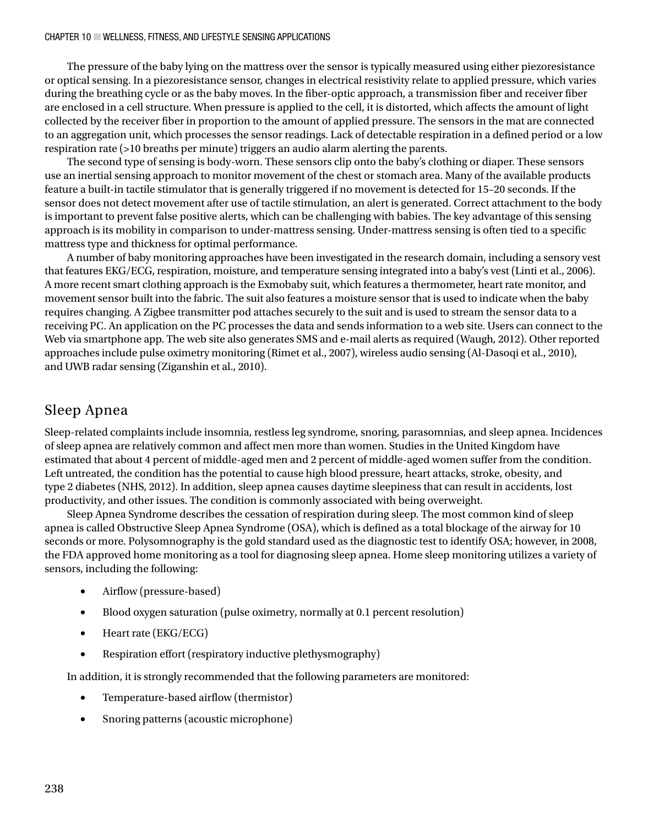#### Chapter 10 ■ Wellness, Fitness, and Lifestyle Sensing Applications

The pressure of the baby lying on the mattress over the sensor is typically measured using either piezoresistance or optical sensing. In a piezoresistance sensor, changes in electrical resistivity relate to applied pressure, which varies during the breathing cycle or as the baby moves. In the fiber-optic approach, a transmission fiber and receiver fiber are enclosed in a cell structure. When pressure is applied to the cell, it is distorted, which affects the amount of light collected by the receiver fiber in proportion to the amount of applied pressure. The sensors in the mat are connected to an aggregation unit, which processes the sensor readings. Lack of detectable respiration in a defined period or a low respiration rate (>10 breaths per minute) triggers an audio alarm alerting the parents.

The second type of sensing is body-worn. These sensors clip onto the baby's clothing or diaper. These sensors use an inertial sensing approach to monitor movement of the chest or stomach area. Many of the available products feature a built-in tactile stimulator that is generally triggered if no movement is detected for 15–20 seconds. If the sensor does not detect movement after use of tactile stimulation, an alert is generated. Correct attachment to the body is important to prevent false positive alerts, which can be challenging with babies. The key advantage of this sensing approach is its mobility in comparison to under-mattress sensing. Under-mattress sensing is often tied to a specific mattress type and thickness for optimal performance.

A number of baby monitoring approaches have been investigated in the research domain, including a sensory vest that features EKG/ECG, respiration, moisture, and temperature sensing integrated into a baby's vest (Linti et al., 2006). A more recent smart clothing approach is the Exmobaby suit, which features a thermometer, heart rate monitor, and movement sensor built into the fabric. The suit also features a moisture sensor that is used to indicate when the baby requires changing. A Zigbee transmitter pod attaches securely to the suit and is used to stream the sensor data to a receiving PC. An application on the PC processes the data and sends information to a web site. Users can connect to the Web via smartphone app. The web site also generates SMS and e-mail alerts as required (Waugh, 2012). Other reported approaches include pulse oximetry monitoring (Rimet et al., 2007), wireless audio sensing (Al-Dasoqi et al., 2010), and UWB radar sensing (Ziganshin et al., 2010).

#### Sleep Apnea

Sleep-related complaints include insomnia, restless leg syndrome, snoring, parasomnias, and sleep apnea. Incidences of sleep apnea are relatively common and affect men more than women. Studies in the United Kingdom have estimated that about 4 percent of middle-aged men and 2 percent of middle-aged women suffer from the condition. Left untreated, the condition has the potential to cause high blood pressure, heart attacks, stroke, obesity, and type 2 diabetes (NHS, 2012). In addition, sleep apnea causes daytime sleepiness that can result in accidents, lost productivity, and other issues. The condition is commonly associated with being overweight.

Sleep Apnea Syndrome describes the cessation of respiration during sleep. The most common kind of sleep apnea is called Obstructive Sleep Apnea Syndrome (OSA), which is defined as a total blockage of the airway for 10 seconds or more. Polysomnography is the gold standard used as the diagnostic test to identify OSA; however, in 2008, the FDA approved home monitoring as a tool for diagnosing sleep apnea. Home sleep monitoring utilizes a variety of sensors, including the following:

- Airflow (pressure-based)
- Blood oxygen saturation (pulse oximetry, normally at 0.1 percent resolution)
- Heart rate (EKG/ECG)
- Respiration effort (respiratory inductive plethysmography)

In addition, it is strongly recommended that the following parameters are monitored:

- Temperature-based airflow (thermistor)
- Snoring patterns (acoustic microphone)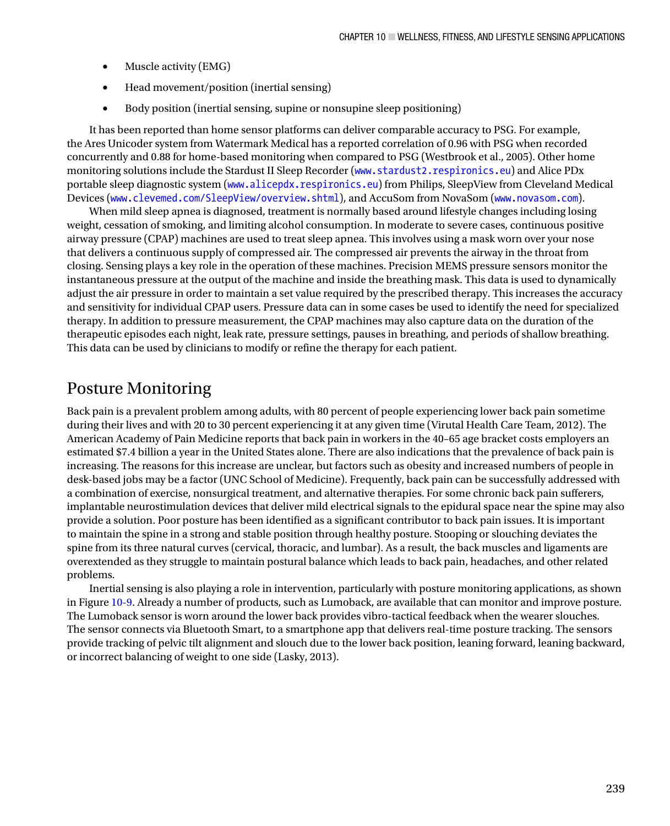- Muscle activity (EMG)
- Head movement/position (inertial sensing)
- Body position (inertial sensing, supine or nonsupine sleep positioning)

It has been reported than home sensor platforms can deliver comparable accuracy to PSG. For example, the Ares Unicoder system from Watermark Medical has a reported correlation of 0.96 with PSG when recorded concurrently and 0.88 for home-based monitoring when compared to PSG (Westbrook et al., 2005). Other home monitoring solutions include the Stardust II Sleep Recorder ([www.stardust2.respironics.eu](http://www.stardust2.respironics.eu)) and Alice PDx portable sleep diagnostic system ([www.alicepdx.respironics.eu](http://www.alicepdx.respironics.eu)) from Philips, SleepView from Cleveland Medical Devices ([www.clevemed.com/SleepView/overview.shtml](http://www.clevemed.com/SleepView/overview.shtml)), and AccuSom from NovaSom ([www.novasom.com](http://www.novasom.com/)).

When mild sleep apnea is diagnosed, treatment is normally based around lifestyle changes including losing weight, cessation of smoking, and limiting alcohol consumption. In moderate to severe cases, continuous positive airway pressure (CPAP) machines are used to treat sleep apnea. This involves using a mask worn over your nose that delivers a continuous supply of compressed air. The compressed air prevents the airway in the throat from closing. Sensing plays a key role in the operation of these machines. Precision MEMS pressure sensors monitor the instantaneous pressure at the output of the machine and inside the breathing mask. This data is used to dynamically adjust the air pressure in order to maintain a set value required by the prescribed therapy. This increases the accuracy and sensitivity for individual CPAP users. Pressure data can in some cases be used to identify the need for specialized therapy. In addition to pressure measurement, the CPAP machines may also capture data on the duration of the therapeutic episodes each night, leak rate, pressure settings, pauses in breathing, and periods of shallow breathing. This data can be used by clinicians to modify or refine the therapy for each patient.

#### Posture Monitoring

Back pain is a prevalent problem among adults, with 80 percent of people experiencing lower back pain sometime during their lives and with 20 to 30 percent experiencing it at any given time (Virutal Health Care Team, 2012). The American Academy of Pain Medicine reports that back pain in workers in the 40–65 age bracket costs employers an estimated \$7.4 billion a year in the United States alone. There are also indications that the prevalence of back pain is increasing. The reasons for this increase are unclear, but factors such as obesity and increased numbers of people in desk-based jobs may be a factor (UNC School of Medicine). Frequently, back pain can be successfully addressed with a combination of exercise, nonsurgical treatment, and alternative therapies. For some chronic back pain sufferers, implantable neurostimulation devices that deliver mild electrical signals to the epidural space near the spine may also provide a solution. Poor posture has been identified as a significant contributor to back pain issues. It is important to maintain the spine in a strong and stable position through healthy posture. Stooping or slouching deviates the spine from its three natural curves (cervical, thoracic, and lumbar). As a result, the back muscles and ligaments are overextended as they struggle to maintain postural balance which leads to back pain, headaches, and other related problems.

Inertial sensing is also playing a role in intervention, particularly with posture monitoring applications, as shown in Figure [10-9.](#page-23-0) Already a number of products, such as Lumoback, are available that can monitor and improve posture. The Lumoback sensor is worn around the lower back provides vibro-tactical feedback when the wearer slouches. The sensor connects via Bluetooth Smart, to a smartphone app that delivers real-time posture tracking. The sensors provide tracking of pelvic tilt alignment and slouch due to the lower back position, leaning forward, leaning backward, or incorrect balancing of weight to one side (Lasky, 2013).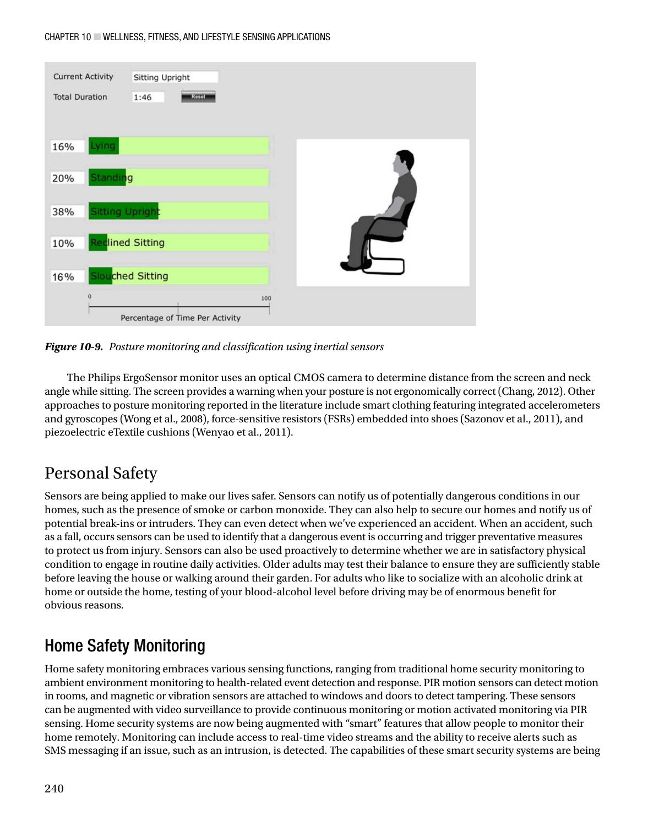#### Chapter 10 ■ Wellness, Fitness, and Lifestyle Sensing Applications

<span id="page-23-0"></span>

| <b>Current Activity</b><br><b>Total Duration</b> | <b>Sitting Upright</b><br>Reset<br>1:46 |  |
|--------------------------------------------------|-----------------------------------------|--|
| Lying<br>16%                                     |                                         |  |
| Standing<br>20%                                  |                                         |  |
| 38%                                              | <b>Sitting Upright</b>                  |  |
| 10%                                              | <b>Reclined Sitting</b>                 |  |
| 16%                                              | Slouched Sitting                        |  |
| $\mathbf{0}$                                     | 100<br>Percentage of Time Per Activity  |  |

*Figure 10-9. Posture monitoring and classification using inertial sensors*

The Philips ErgoSensor monitor uses an optical CMOS camera to determine distance from the screen and neck angle while sitting. The screen provides a warning when your posture is not ergonomically correct (Chang, 2012). Other approaches to posture monitoring reported in the literature include smart clothing featuring integrated accelerometers and gyroscopes (Wong et al., 2008), force-sensitive resistors (FSRs) embedded into shoes (Sazonov et al., 2011), and piezoelectric eTextile cushions (Wenyao et al., 2011).

#### Personal Safety

Sensors are being applied to make our lives safer. Sensors can notify us of potentially dangerous conditions in our homes, such as the presence of smoke or carbon monoxide. They can also help to secure our homes and notify us of potential break-ins or intruders. They can even detect when we've experienced an accident. When an accident, such as a fall, occurs sensors can be used to identify that a dangerous event is occurring and trigger preventative measures to protect us from injury. Sensors can also be used proactively to determine whether we are in satisfactory physical condition to engage in routine daily activities. Older adults may test their balance to ensure they are sufficiently stable before leaving the house or walking around their garden. For adults who like to socialize with an alcoholic drink at home or outside the home, testing of your blood-alcohol level before driving may be of enormous benefit for obvious reasons.

### Home Safety Monitoring

Home safety monitoring embraces various sensing functions, ranging from traditional home security monitoring to ambient environment monitoring to health-related event detection and response. PIR motion sensors can detect motion in rooms, and magnetic or vibration sensors are attached to windows and doors to detect tampering. These sensors can be augmented with video surveillance to provide continuous monitoring or motion activated monitoring via PIR sensing. Home security systems are now being augmented with "smart" features that allow people to monitor their home remotely. Monitoring can include access to real-time video streams and the ability to receive alerts such as SMS messaging if an issue, such as an intrusion, is detected. The capabilities of these smart security systems are being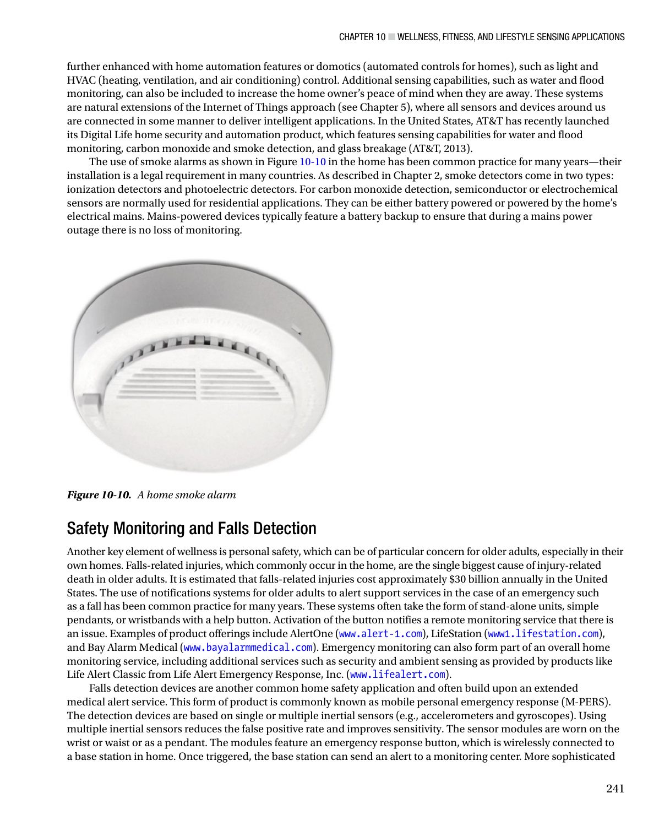further enhanced with home automation features or domotics (automated controls for homes), such as light and HVAC (heating, ventilation, and air conditioning) control. Additional sensing capabilities, such as water and flood monitoring, can also be included to increase the home owner's peace of mind when they are away. These systems are natural extensions of the Internet of Things approach (see Chapter 5), where all sensors and devices around us are connected in some manner to deliver intelligent applications. In the United States, AT&T has recently launched its Digital Life home security and automation product, which features sensing capabilities for water and flood monitoring, carbon monoxide and smoke detection, and glass breakage (AT&T, 2013).

The use of smoke alarms as shown in Figure [10-10](#page-24-0) in the home has been common practice for many years—their installation is a legal requirement in many countries. As described in Chapter 2, smoke detectors come in two types: ionization detectors and photoelectric detectors. For carbon monoxide detection, semiconductor or electrochemical sensors are normally used for residential applications. They can be either battery powered or powered by the home's electrical mains. Mains-powered devices typically feature a battery backup to ensure that during a mains power outage there is no loss of monitoring.

<span id="page-24-0"></span>

*Figure 10-10. A home smoke alarm*

#### Safety Monitoring and Falls Detection

Another key element of wellness is personal safety, which can be of particular concern for older adults, especially in their own homes. Falls-related injuries, which commonly occur in the home, are the single biggest cause of injury-related death in older adults. It is estimated that falls-related injuries cost approximately \$30 billion annually in the United States. The use of notifications systems for older adults to alert support services in the case of an emergency such as a fall has been common practice for many years. These systems often take the form of stand-alone units, simple pendants, or wristbands with a help button. Activation of the button notifies a remote monitoring service that there is an issue. Examples of product offerings include AlertOne ([www.alert-1.com](http://www.alert-1.com/)), LifeStation ([www1.lifestation.com](http://www1.lifestation.com/)), and Bay Alarm Medical ([www.bayalarmmedical.com](http://www.bayalarmmedical.com/)). Emergency monitoring can also form part of an overall home monitoring service, including additional services such as security and ambient sensing as provided by products like Life Alert Classic from Life Alert Emergency Response, Inc. ([www.lifealert.com](http://www.lifealert.com/)).

Falls detection devices are another common home safety application and often build upon an extended medical alert service. This form of product is commonly known as mobile personal emergency response (M-PERS). The detection devices are based on single or multiple inertial sensors (e.g., accelerometers and gyroscopes). Using multiple inertial sensors reduces the false positive rate and improves sensitivity. The sensor modules are worn on the wrist or waist or as a pendant. The modules feature an emergency response button, which is wirelessly connected to a base station in home. Once triggered, the base station can send an alert to a monitoring center. More sophisticated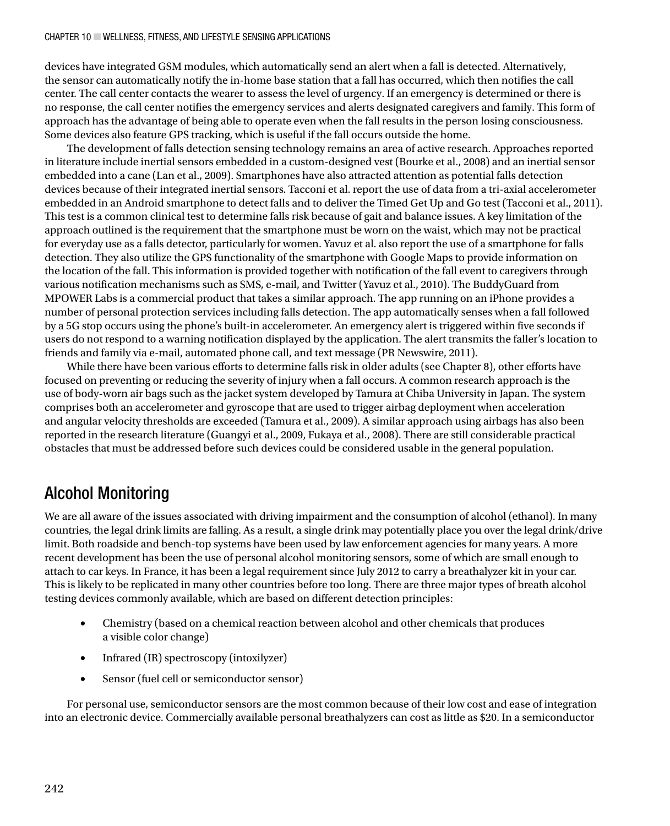#### Chapter 10 ■ Wellness, Fitness, and Lifestyle Sensing Applications

devices have integrated GSM modules, which automatically send an alert when a fall is detected. Alternatively, the sensor can automatically notify the in-home base station that a fall has occurred, which then notifies the call center. The call center contacts the wearer to assess the level of urgency. If an emergency is determined or there is no response, the call center notifies the emergency services and alerts designated caregivers and family. This form of approach has the advantage of being able to operate even when the fall results in the person losing consciousness. Some devices also feature GPS tracking, which is useful if the fall occurs outside the home.

The development of falls detection sensing technology remains an area of active research. Approaches reported in literature include inertial sensors embedded in a custom-designed vest (Bourke et al., 2008) and an inertial sensor embedded into a cane (Lan et al., 2009). Smartphones have also attracted attention as potential falls detection devices because of their integrated inertial sensors. Tacconi et al. report the use of data from a tri-axial accelerometer embedded in an Android smartphone to detect falls and to deliver the Timed Get Up and Go test (Tacconi et al., 2011). This test is a common clinical test to determine falls risk because of gait and balance issues. A key limitation of the approach outlined is the requirement that the smartphone must be worn on the waist, which may not be practical for everyday use as a falls detector, particularly for women. Yavuz et al. also report the use of a smartphone for falls detection. They also utilize the GPS functionality of the smartphone with Google Maps to provide information on the location of the fall. This information is provided together with notification of the fall event to caregivers through various notification mechanisms such as SMS, e-mail, and Twitter (Yavuz et al., 2010). The BuddyGuard from MPOWER Labs is a commercial product that takes a similar approach. The app running on an iPhone provides a number of personal protection services including falls detection. The app automatically senses when a fall followed by a 5G stop occurs using the phone's built-in accelerometer. An emergency alert is triggered within five seconds if users do not respond to a warning notification displayed by the application. The alert transmits the faller's location to friends and family via e-mail, automated phone call, and text message (PR Newswire, 2011).

While there have been various efforts to determine falls risk in older adults (see Chapter 8), other efforts have focused on preventing or reducing the severity of injury when a fall occurs. A common research approach is the use of body-worn air bags such as the jacket system developed by Tamura at Chiba University in Japan. The system comprises both an accelerometer and gyroscope that are used to trigger airbag deployment when acceleration and angular velocity thresholds are exceeded (Tamura et al., 2009). A similar approach using airbags has also been reported in the research literature (Guangyi et al., 2009, Fukaya et al., 2008). There are still considerable practical obstacles that must be addressed before such devices could be considered usable in the general population.

### Alcohol Monitoring

We are all aware of the issues associated with driving impairment and the consumption of alcohol (ethanol). In many countries, the legal drink limits are falling. As a result, a single drink may potentially place you over the legal drink/drive limit. Both roadside and bench-top systems have been used by law enforcement agencies for many years. A more recent development has been the use of personal alcohol monitoring sensors, some of which are small enough to attach to car keys. In France, it has been a legal requirement since July 2012 to carry a breathalyzer kit in your car. This is likely to be replicated in many other countries before too long. There are three major types of breath alcohol testing devices commonly available, which are based on different detection principles:

- Chemistry (based on a chemical reaction between alcohol and other chemicals that produces a visible color change)
- Infrared (IR) spectroscopy (intoxilyzer)
- Sensor (fuel cell or semiconductor sensor)

For personal use, semiconductor sensors are the most common because of their low cost and ease of integration into an electronic device. Commercially available personal breathalyzers can cost as little as \$20. In a semiconductor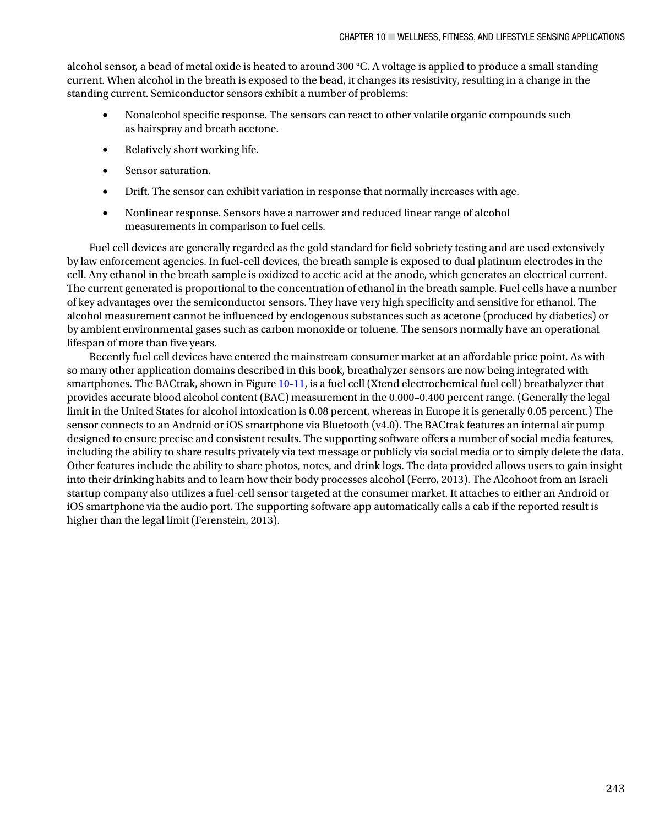alcohol sensor, a bead of metal oxide is heated to around 300 °C. A voltage is applied to produce a small standing current. When alcohol in the breath is exposed to the bead, it changes its resistivity, resulting in a change in the standing current. Semiconductor sensors exhibit a number of problems:

- Nonalcohol specific response. The sensors can react to other volatile organic compounds such as hairspray and breath acetone.
- Relatively short working life.
- Sensor saturation.
- Drift. The sensor can exhibit variation in response that normally increases with age.
- Nonlinear response. Sensors have a narrower and reduced linear range of alcohol measurements in comparison to fuel cells.

Fuel cell devices are generally regarded as the gold standard for field sobriety testing and are used extensively by law enforcement agencies. In fuel-cell devices, the breath sample is exposed to dual platinum electrodes in the cell. Any ethanol in the breath sample is oxidized to acetic acid at the anode, which generates an electrical current. The current generated is proportional to the concentration of ethanol in the breath sample. Fuel cells have a number of key advantages over the semiconductor sensors. They have very high specificity and sensitive for ethanol. The alcohol measurement cannot be influenced by endogenous substances such as acetone (produced by diabetics) or by ambient environmental gases such as carbon monoxide or toluene. The sensors normally have an operational lifespan of more than five years.

Recently fuel cell devices have entered the mainstream consumer market at an affordable price point. As with so many other application domains described in this book, breathalyzer sensors are now being integrated with smartphones. The BACtrak, shown in Figure [10-11,](#page-27-0) is a fuel cell (Xtend electrochemical fuel cell) breathalyzer that provides accurate blood alcohol content (BAC) measurement in the 0.000–0.400 percent range. (Generally the legal limit in the United States for alcohol intoxication is 0.08 percent, whereas in Europe it is generally 0.05 percent.) The sensor connects to an Android or iOS smartphone via Bluetooth (v4.0). The BACtrak features an internal air pump designed to ensure precise and consistent results. The supporting software offers a number of social media features, including the ability to share results privately via text message or publicly via social media or to simply delete the data. Other features include the ability to share photos, notes, and drink logs. The data provided allows users to gain insight into their drinking habits and to learn how their body processes alcohol (Ferro, 2013). The Alcohoot from an Israeli startup company also utilizes a fuel-cell sensor targeted at the consumer market. It attaches to either an Android or iOS smartphone via the audio port. The supporting software app automatically calls a cab if the reported result is higher than the legal limit (Ferenstein, 2013).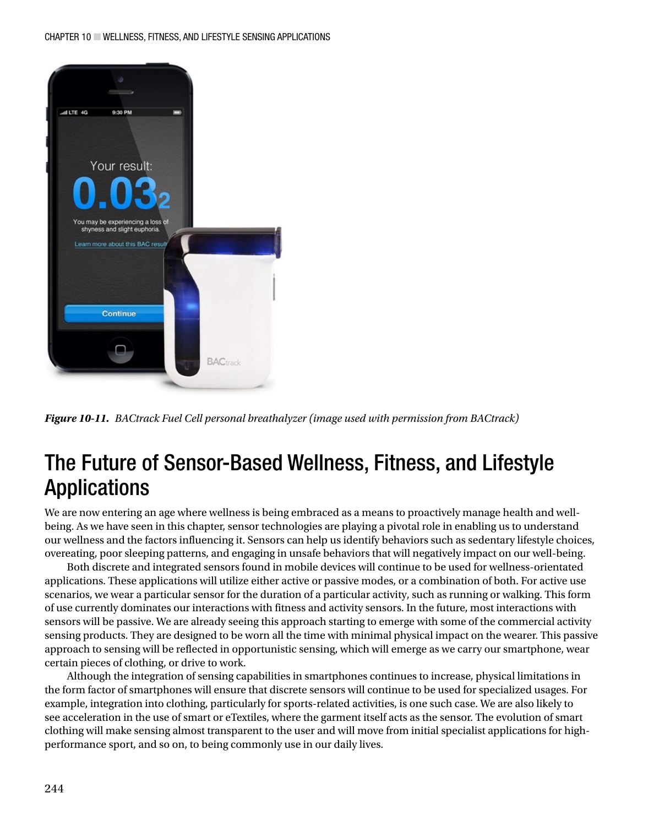<span id="page-27-0"></span>

*Figure 10-11. BACtrack Fuel Cell personal breathalyzer (image used with permission from BACtrack)*

# The Future of Sensor-Based Wellness, Fitness, and Lifestyle Applications

We are now entering an age where wellness is being embraced as a means to proactively manage health and wellbeing. As we have seen in this chapter, sensor technologies are playing a pivotal role in enabling us to understand our wellness and the factors influencing it. Sensors can help us identify behaviors such as sedentary lifestyle choices, overeating, poor sleeping patterns, and engaging in unsafe behaviors that will negatively impact on our well-being.

Both discrete and integrated sensors found in mobile devices will continue to be used for wellness-orientated applications. These applications will utilize either active or passive modes, or a combination of both. For active use scenarios, we wear a particular sensor for the duration of a particular activity, such as running or walking. This form of use currently dominates our interactions with fitness and activity sensors. In the future, most interactions with sensors will be passive. We are already seeing this approach starting to emerge with some of the commercial activity sensing products. They are designed to be worn all the time with minimal physical impact on the wearer. This passive approach to sensing will be reflected in opportunistic sensing, which will emerge as we carry our smartphone, wear certain pieces of clothing, or drive to work.

Although the integration of sensing capabilities in smartphones continues to increase, physical limitations in the form factor of smartphones will ensure that discrete sensors will continue to be used for specialized usages. For example, integration into clothing, particularly for sports-related activities, is one such case. We are also likely to see acceleration in the use of smart or eTextiles, where the garment itself acts as the sensor. The evolution of smart clothing will make sensing almost transparent to the user and will move from initial specialist applications for highperformance sport, and so on, to being commonly use in our daily lives.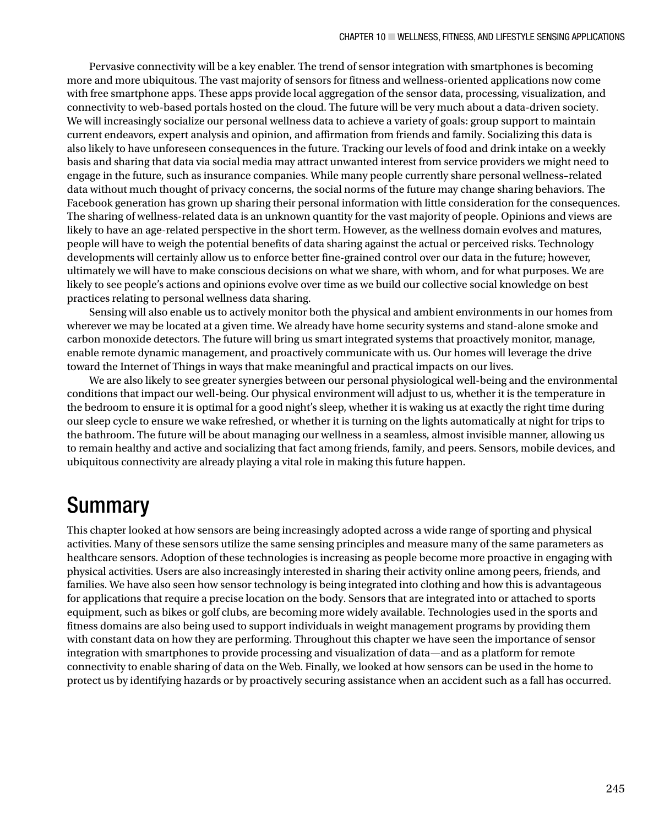Pervasive connectivity will be a key enabler. The trend of sensor integration with smartphones is becoming more and more ubiquitous. The vast majority of sensors for fitness and wellness-oriented applications now come with free smartphone apps. These apps provide local aggregation of the sensor data, processing, visualization, and connectivity to web-based portals hosted on the cloud. The future will be very much about a data-driven society. We will increasingly socialize our personal wellness data to achieve a variety of goals: group support to maintain current endeavors, expert analysis and opinion, and affirmation from friends and family. Socializing this data is also likely to have unforeseen consequences in the future. Tracking our levels of food and drink intake on a weekly basis and sharing that data via social media may attract unwanted interest from service providers we might need to engage in the future, such as insurance companies. While many people currently share personal wellness–related data without much thought of privacy concerns, the social norms of the future may change sharing behaviors. The Facebook generation has grown up sharing their personal information with little consideration for the consequences. The sharing of wellness-related data is an unknown quantity for the vast majority of people. Opinions and views are likely to have an age-related perspective in the short term. However, as the wellness domain evolves and matures, people will have to weigh the potential benefits of data sharing against the actual or perceived risks. Technology developments will certainly allow us to enforce better fine-grained control over our data in the future; however, ultimately we will have to make conscious decisions on what we share, with whom, and for what purposes. We are likely to see people's actions and opinions evolve over time as we build our collective social knowledge on best practices relating to personal wellness data sharing.

Sensing will also enable us to actively monitor both the physical and ambient environments in our homes from wherever we may be located at a given time. We already have home security systems and stand-alone smoke and carbon monoxide detectors. The future will bring us smart integrated systems that proactively monitor, manage, enable remote dynamic management, and proactively communicate with us. Our homes will leverage the drive toward the Internet of Things in ways that make meaningful and practical impacts on our lives.

We are also likely to see greater synergies between our personal physiological well-being and the environmental conditions that impact our well-being. Our physical environment will adjust to us, whether it is the temperature in the bedroom to ensure it is optimal for a good night's sleep, whether it is waking us at exactly the right time during our sleep cycle to ensure we wake refreshed, or whether it is turning on the lights automatically at night for trips to the bathroom. The future will be about managing our wellness in a seamless, almost invisible manner, allowing us to remain healthy and active and socializing that fact among friends, family, and peers. Sensors, mobile devices, and ubiquitous connectivity are already playing a vital role in making this future happen.

# Summary

This chapter looked at how sensors are being increasingly adopted across a wide range of sporting and physical activities. Many of these sensors utilize the same sensing principles and measure many of the same parameters as healthcare sensors. Adoption of these technologies is increasing as people become more proactive in engaging with physical activities. Users are also increasingly interested in sharing their activity online among peers, friends, and families. We have also seen how sensor technology is being integrated into clothing and how this is advantageous for applications that require a precise location on the body. Sensors that are integrated into or attached to sports equipment, such as bikes or golf clubs, are becoming more widely available. Technologies used in the sports and fitness domains are also being used to support individuals in weight management programs by providing them with constant data on how they are performing. Throughout this chapter we have seen the importance of sensor integration with smartphones to provide processing and visualization of data—and as a platform for remote connectivity to enable sharing of data on the Web. Finally, we looked at how sensors can be used in the home to protect us by identifying hazards or by proactively securing assistance when an accident such as a fall has occurred.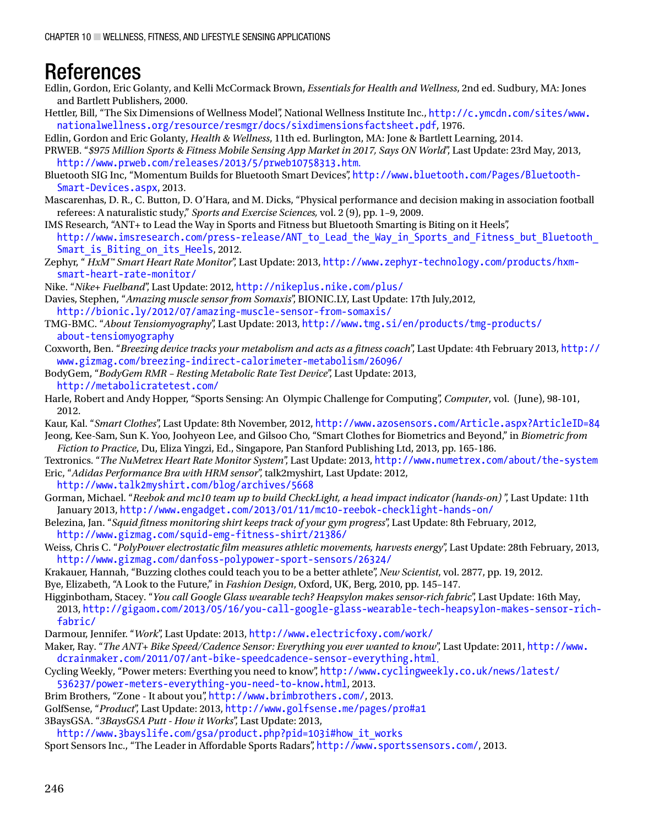# References

- Edlin, Gordon, Eric Golanty, and Kelli McCormack Brown, *Essentials for Health and Wellness*, 2nd ed. Sudbury, MA: Jones and Bartlett Publishers, 2000.
- Hettler, Bill, "The Six Dimensions of Wellness Model", National Wellness Institute Inc., [http://c.ymcdn.com/sites/www.](http://c.ymcdn.com/sites/www.nationalwellness.org/resource/resmgr/docs/sixdimensionsfactsheet.pdf) [nationalwellness.org/resource/resmgr/docs/sixdimensionsfactsheet.pdf](http://c.ymcdn.com/sites/www.nationalwellness.org/resource/resmgr/docs/sixdimensionsfactsheet.pdf), 1976.
- Edlin, Gordon and Eric Golanty, *Health & Wellness*, 11th ed. Burlington, MA: Jone & Bartlett Learning, 2014.
- PRWEB. "*\$975 Million Sports & Fitness Mobile Sensing App Market in 2017, Says ON World*", Last Update: 23rd May, 2013, <http://www.prweb.com/releases/2013/5/prweb10758313.htm>.
- Bluetooth SIG Inc, "Momentum Builds for Bluetooth Smart Devices", [http://www.bluetooth.com/Pages/Bluetooth-](http://www.bluetooth.com/Pages/Bluetooth-Smart-Devices.aspx)[Smart-Devices.aspx](http://www.bluetooth.com/Pages/Bluetooth-Smart-Devices.aspx), 2013.
- Mascarenhas, D. R., C. Button, D. O'Hara, and M. Dicks, "Physical performance and decision making in association football referees: A naturalistic study," *Sports and Exercise Sciences,* vol. 2 (9), pp. 1–9, 2009.
- IMS Research, "ANT+ to Lead the Way in Sports and Fitness but Bluetooth Smarting is Biting on it Heels", http://www.imsresearch.com/press-release/ANT to Lead the Way in Sports and Fitness but Bluetooth Smart is Biting on its Heels, 2012.
- Zephyr, " *HxM™ Smart Heart Rate Monitor*", Last Update: 2013, [http://www.zephyr-technology.com/products/hxm](http://www.zephyr-technology.com/products/hxm-smart-heart-rate-monitor/)[smart-heart-rate-monitor/](http://www.zephyr-technology.com/products/hxm-smart-heart-rate-monitor/)
- Nike. "*Nike+ Fuelband*", Last Update: 2012, <http://nikeplus.nike.com/plus/>
- Davies, Stephen, "*Amazing muscle sensor from Somaxis*", BIONIC.LY, Last Update: 17th July,2012, <http://bionic.ly/2012/07/amazing-muscle-sensor-from-somaxis/>
- TMG-BMC. "*About Tensiomyography*", Last Update: 2013, [http://www.tmg.si/en/products/tmg-products/](http://www.tmg.si/en/products/tmg-products/about-tensiomyography) [about-tensiomyography](http://www.tmg.si/en/products/tmg-products/about-tensiomyography)
- Coxworth, Ben. "*Breezing device tracks your metabolism and acts as a fitness coach*", Last Update: 4th February 2013, [http://](http://www.gizmag.com/breezing-indirect-calorimeter-metabolism/26096/) [www.gizmag.com/breezing-indirect-calorimeter-metabolism/26096/](http://www.gizmag.com/breezing-indirect-calorimeter-metabolism/26096/)
- BodyGem, "*BodyGem RMR Resting Metabolic Rate Test Device*", Last Update: 2013, <http://metabolicratetest.com/>
- Harle, Robert and Andy Hopper, "Sports Sensing: An Olympic Challenge for Computing", *Computer*, vol. (June), 98-101, 2012.
- Kaur, Kal. "*Smart Clothes*", Last Update: 8th November, 2012, <http://www.azosensors.com/Article.aspx?ArticleID=84>
- Jeong, Kee-Sam, Sun K. Yoo, Joohyeon Lee, and Gilsoo Cho, "Smart Clothes for Biometrics and Beyond," in *Biometric from Fiction to Practice*, Du, Eliza Yingzi, Ed., Singapore, Pan Stanford Publishing Ltd, 2013, pp. 165-186.
- Textronics. "*The NuMetrex Heart Rate Monitor System*", Last Update: 2013, <http://www.numetrex.com/about/the-system> Eric, "*Adidas Performance Bra with HRM sensor*", talk2myshirt, Last Update: 2012,
- <http://www.talk2myshirt.com/blog/archives/5668>
- Gorman, Michael. "*Reebok and mc10 team up to build CheckLight, a head impact indicator (hands-on)* ", Last Update: 11th January 2013, <http://www.engadget.com/2013/01/11/mc10-reebok-checklight-hands-on/>
- Belezina, Jan. "*Squid fitness monitoring shirt keeps track of your gym progress*", Last Update: 8th February, 2012, <http://www.gizmag.com/squid-emg-fitness-shirt/21386/>
- Weiss, Chris C. "*PolyPower electrostatic film measures athletic movements, harvests energy*", Last Update: 28th February, 2013, <http://www.gizmag.com/danfoss-polypower-sport-sensors/26324/>
- Krakauer, Hannah, "Buzzing clothes could teach you to be a better athlete", *New Scientist*, vol. 2877, pp. 19, 2012.
- Bye, Elizabeth, "A Look to the Future," in *Fashion Design*, Oxford, UK, Berg, 2010, pp. 145–147.
- Higginbotham, Stacey. "*You call Google Glass wearable tech? Heapsylon makes sensor-rich fabric*", Last Update: 16th May, 2013, [http://gigaom.com/2013/05/16/you-call-google-glass-wearable-tech-heapsylon-makes-sensor-rich](http://gigaom.com/2013/05/16/you-call-google-glass-wearable-tech-heapsylon-makes-sensor-rich-fabric/)[fabric/](http://gigaom.com/2013/05/16/you-call-google-glass-wearable-tech-heapsylon-makes-sensor-rich-fabric/)
- Darmour, Jennifer. "*Work*", Last Update: 2013, <http://www.electricfoxy.com/work/>
- Maker, Ray. "*The ANT+ Bike Speed/Cadence Sensor: Everything you ever wanted to know*", Last Update: 2011, [http://www.](http://www.dcrainmaker.com/2011/07/ant-bike-speedcadence-sensor-everything.html) [dcrainmaker.com/2011/07/ant-bike-speedcadence-sensor-everything.html](http://www.dcrainmaker.com/2011/07/ant-bike-speedcadence-sensor-everything.html).
- Cycling Weekly, "Power meters: Everthing you need to know", [http://www.cyclingweekly.co.uk/news/latest/](http://www.cyclingweekly.co.uk/news/latest/536237/power-meters-everything-you-need-to-know.html) [536237/power-meters-everything-you-need-to-know.html](http://www.cyclingweekly.co.uk/news/latest/536237/power-meters-everything-you-need-to-know.html), 2013.
- Brim Brothers, "Zone It about you", <http://www.brimbrothers.com/>, 2013.
- GolfSense, "*Product*", Last Update: 2013, <http://www.golfsense.me/pages/pro#a1>
- 3BaysGSA. "*3BaysGSA Putt How it Works*", Last Update: 2013,
- [http://www.3bayslife.com/gsa/product.php?pid=103i#how\\_it\\_works](http://www.3bayslife.com/gsa/product.php?pid=103i#how_it_works)
- Sport Sensors Inc., "The Leader in Affordable Sports Radars", <http://www.sportssensors.com/>, 2013.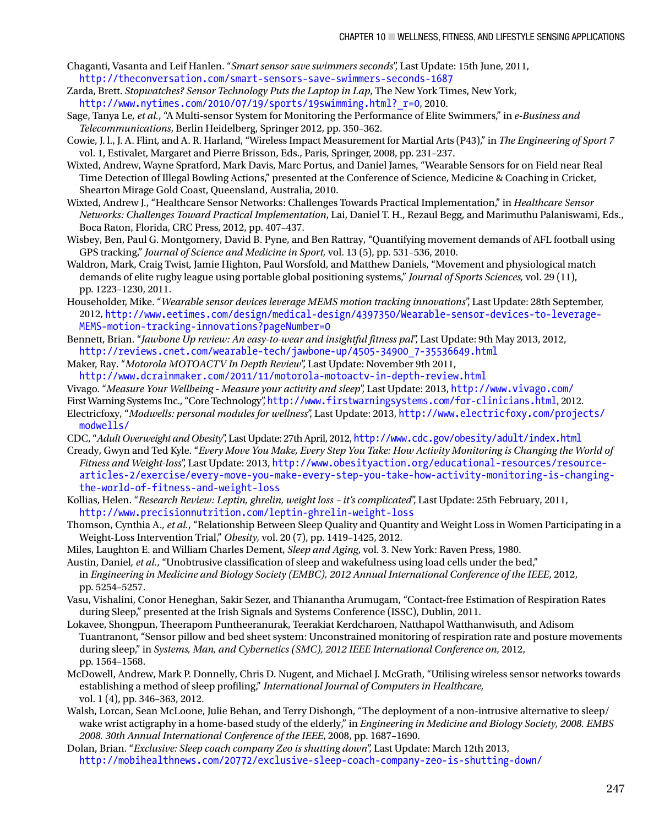- Chaganti, Vasanta and Leif Hanlen. "*Smart sensor save swimmers seconds*", Last Update: 15th June, 2011, <http://theconversation.com/smart-sensors-save-swimmers-seconds-1687>
- Zarda, Brett. *Stopwatches? Sensor Technology Puts the Laptop in Lap*, The New York Times, New York, http://www.nytimes.com/2010/07/19/sports/19swimming.html? r=0, 2010.
- Sage, Tanya Le*, et al.*, "A Multi-sensor System for Monitoring the Performance of Elite Swimmers," in *e-Business and Telecommunications*, Berlin Heidelberg, Springer 2012, pp. 350–362.
- Cowie, J. l., J. A. Flint, and A. R. Harland, "Wireless Impact Measurement for Martial Arts (P43)," in *The Engineering of Sport 7* vol. 1, Estivalet, Margaret and Pierre Brisson, Eds., Paris, Springer, 2008, pp. 231–237.
- Wixted, Andrew, Wayne Spratford, Mark Davis, Marc Portus, and Daniel James, "Wearable Sensors for on Field near Real Time Detection of Illegal Bowling Actions," presented at the Conference of Science, Medicine & Coaching in Cricket, Shearton Mirage Gold Coast, Queensland, Australia, 2010.
- Wixted, Andrew J., "Healthcare Sensor Networks: Challenges Towards Practical Implementation," in *Healthcare Sensor Networks: Challenges Toward Practical Implementation*, Lai, Daniel T. H., Rezaul Begg, and Marimuthu Palaniswami, Eds., Boca Raton, Florida, CRC Press, 2012, pp. 407–437.
- Wisbey, Ben, Paul G. Montgomery, David B. Pyne, and Ben Rattray, "Quantifying movement demands of AFL football using GPS tracking," *Journal of Science and Medicine in Sport,* vol. 13 (5), pp. 531–536, 2010.
- Waldron, Mark, Craig Twist, Jamie Highton, Paul Worsfold, and Matthew Daniels, "Movement and physiological match demands of elite rugby league using portable global positioning systems," *Journal of Sports Sciences,* vol. 29 (11), pp. 1223–1230, 2011.
- Householder, Mike. "*Wearable sensor devices leverage MEMS motion tracking innovations*", Last Update: 28th September, 2012, [http://www.eetimes.com/design/medical-design/4397350/Wearable-sensor-devices-to-leverage-](http://www.eetimes.com/design/medical-design/4397350/Wearable-sensor-devices-to-leverage-MEMS-motion-tracking-innovations?pageNumber=0)[MEMS-motion-tracking-innovations?pageNumber=0](http://www.eetimes.com/design/medical-design/4397350/Wearable-sensor-devices-to-leverage-MEMS-motion-tracking-innovations?pageNumber=0)
- Bennett, Brian. "*Jawbone Up review: An easy-to-wear and insightful fitness pal*", Last Update: 9th May 2013, 2012, [http://reviews.cnet.com/wearable-tech/jawbone-up/4505-34900\\_7-35536649.html](http://reviews.cnet.com/wearable-tech/jawbone-up/4505-34900_7-35536649.html)
- Maker, Ray. "*Motorola MOTOACTV In Depth Review*", Last Update: November 9th 2011, <http://www.dcrainmaker.com/2011/11/motorola-motoactv-in-depth-review.html>
- Vivago. "*Measure Your Wellbeing Measure your activity and sleep*", Last Update: 2013, <http://www.vivago.com/>
- First Warning Systems Inc., "Core Technology", <http://www.firstwarningsystems.com/for-clinicians.html>, 2012.
- Electricfoxy, "*Modwells: personal modules for wellness*", Last Update: 2013, [http://www.electricfoxy.com/projects/](http://www.electricfoxy.com/projects/modwells/) [modwells/](http://www.electricfoxy.com/projects/modwells/)
- CDC, "*Adult Overweight and Obesity*", Last Update: 27th April, 2012, <http://www.cdc.gov/obesity/adult/index.html>
- Cready, Gwyn and Ted Kyle. "*Every Move You Make, Every Step You Take: How Activity Monitoring is Changing the World of Fitness and Weight-loss*", Last Update: 2013, [http://www.obesityaction.org/educational-resources/resource](http://www.obesityaction.org/educational-resources/resource-articles-2/exercise/every-move-you-make-every-step-you-take-how-activity-monitoring-is-changing-the-world-of-fitness-and-weight-loss)[articles-2/exercise/every-move-you-make-every-step-you-take-how-activity-monitoring-is-changing](http://www.obesityaction.org/educational-resources/resource-articles-2/exercise/every-move-you-make-every-step-you-take-how-activity-monitoring-is-changing-the-world-of-fitness-and-weight-loss)[the-world-of-fitness-and-weight-loss](http://www.obesityaction.org/educational-resources/resource-articles-2/exercise/every-move-you-make-every-step-you-take-how-activity-monitoring-is-changing-the-world-of-fitness-and-weight-loss)
- Kollias, Helen. "*Research Review: Leptin, ghrelin, weight loss it's complicated*", Last Update: 25th February, 2011, <http://www.precisionnutrition.com/leptin-ghrelin-weight-loss>
- Thomson, Cynthia A.*, et al.*, "Relationship Between Sleep Quality and Quantity and Weight Loss in Women Participating in a Weight-Loss Intervention Trial," *Obesity,* vol. 20 (7), pp. 1419–1425, 2012.
- Miles, Laughton E. and William Charles Dement, *Sleep and Aging*, vol. 3. New York: Raven Press, 1980.
- Austin, Daniel*, et al.*, "Unobtrusive classification of sleep and wakefulness using load cells under the bed," in *Engineering in Medicine and Biology Society (EMBC), 2012 Annual International Conference of the IEEE*, 2012, pp. 5254–5257.
- Vasu, Vishalini, Conor Heneghan, Sakir Sezer, and Thianantha Arumugam, "Contact-free Estimation of Respiration Rates during Sleep," presented at the Irish Signals and Systems Conference (ISSC), Dublin, 2011.
- Lokavee, Shongpun, Theerapom Puntheeranurak, Teerakiat Kerdcharoen, Natthapol Watthanwisuth, and Adisom Tuantranont, "Sensor pillow and bed sheet system: Unconstrained monitoring of respiration rate and posture movements during sleep," in *Systems, Man, and Cybernetics (SMC), 2012 IEEE International Conference on*, 2012, pp. 1564–1568.
- McDowell, Andrew, Mark P. Donnelly, Chris D. Nugent, and Michael J. McGrath, "Utilising wireless sensor networks towards establishing a method of sleep profiling," *International Journal of Computers in Healthcare,* vol. 1 (4), pp. 346–363, 2012.
- Walsh, Lorcan, Sean McLoone, Julie Behan, and Terry Dishongh, "The deployment of a non-intrusive alternative to sleep/ wake wrist actigraphy in a home-based study of the elderly," in *Engineering in Medicine and Biology Society, 2008. EMBS 2008. 30th Annual International Conference of the IEEE*, 2008, pp. 1687–1690.
- Dolan, Brian. "*Exclusive: Sleep coach company Zeo is shutting down*", Last Update: March 12th 2013, <http://mobihealthnews.com/20772/exclusive-sleep-coach-company-zeo-is-shutting-down/>